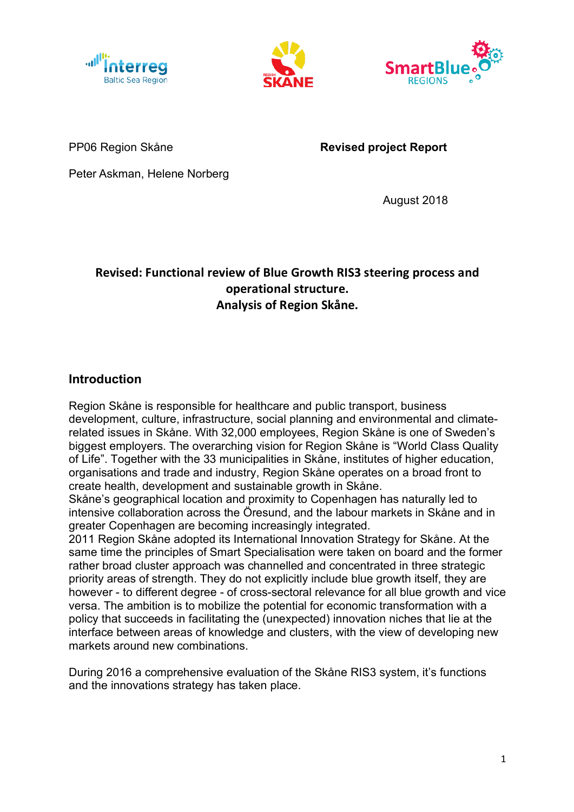





PP06 Region Skåne **Revised project Report**

Peter Askman, Helene Norberg

August 2018

# **Revised: Functional review of Blue Growth RIS3 steering process and operational structure. Analysis of Region Skåne.**

# **Introduction**

Region Skåne is responsible for healthcare and public transport, business development, culture, infrastructure, social planning and environmental and climaterelated issues in Skåne. With 32,000 employees, Region Skåne is one of Sweden's biggest employers. The overarching vision for Region Skåne is "World Class Quality of Life". Together with the 33 municipalities in Skåne, institutes of higher education, organisations and trade and industry, Region Skåne operates on a broad front to create health, development and sustainable growth in Skåne.

Skåne's geographical location and proximity to Copenhagen has naturally led to intensive collaboration across the Öresund, and the labour markets in Skåne and in greater Copenhagen are becoming increasingly integrated.

2011 Region Skåne adopted its International Innovation Strategy for Skåne. At the same time the principles of Smart Specialisation were taken on board and the former rather broad cluster approach was channelled and concentrated in three strategic priority areas of strength. They do not explicitly include blue growth itself, they are however - to different degree - of cross-sectoral relevance for all blue growth and vice versa. The ambition is to mobilize the potential for economic transformation with a policy that succeeds in facilitating the (unexpected) innovation niches that lie at the interface between areas of knowledge and clusters, with the view of developing new markets around new combinations.

During 2016 a comprehensive evaluation of the Skåne RIS3 system, it's functions and the innovations strategy has taken place.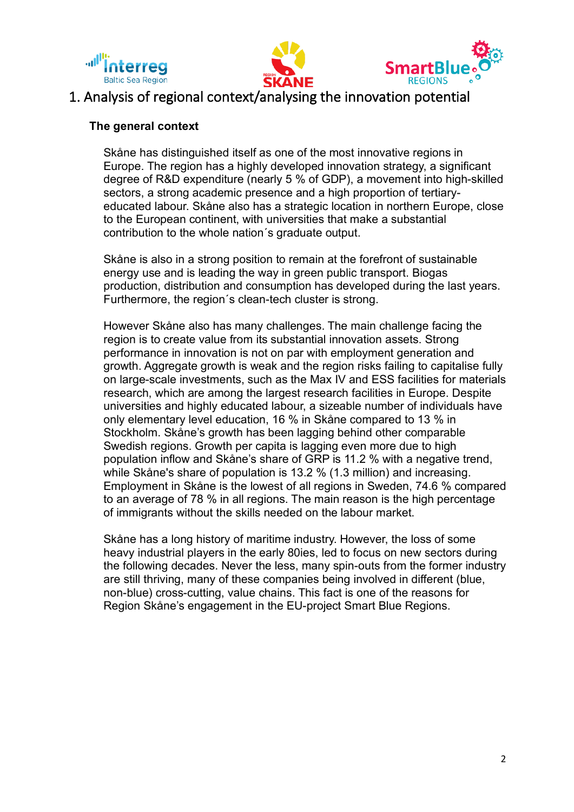





# 1. Analysis of regional context/analysing the innovation potential

#### **The general context**

Skåne has distinguished itself as one of the most innovative regions in Europe. The region has a highly developed innovation strategy, a significant degree of R&D expenditure (nearly 5 % of GDP), a movement into high-skilled sectors, a strong academic presence and a high proportion of tertiaryeducated labour. Skåne also has a strategic location in northern Europe, close to the European continent, with universities that make a substantial contribution to the whole nation´s graduate output.

Skåne is also in a strong position to remain at the forefront of sustainable energy use and is leading the way in green public transport. Biogas production, distribution and consumption has developed during the last years. Furthermore, the region´s clean-tech cluster is strong.

However Skåne also has many challenges. The main challenge facing the region is to create value from its substantial innovation assets. Strong performance in innovation is not on par with employment generation and growth. Aggregate growth is weak and the region risks failing to capitalise fully on large-scale investments, such as the Max IV and ESS facilities for materials research, which are among the largest research facilities in Europe. Despite universities and highly educated labour, a sizeable number of individuals have only elementary level education, 16 % in Skåne compared to 13 % in Stockholm. Skåne's growth has been lagging behind other comparable Swedish regions. Growth per capita is lagging even more due to high population inflow and Skåne's share of GRP is 11.2 % with a negative trend, while Skåne's share of population is 13.2 % (1.3 million) and increasing. Employment in Skåne is the lowest of all regions in Sweden, 74.6 % compared to an average of 78 % in all regions. The main reason is the high percentage of immigrants without the skills needed on the labour market.

Skåne has a long history of maritime industry. However, the loss of some heavy industrial players in the early 80ies, led to focus on new sectors during the following decades. Never the less, many spin-outs from the former industry are still thriving, many of these companies being involved in different (blue, non-blue) cross-cutting, value chains. This fact is one of the reasons for Region Skåne's engagement in the EU-project Smart Blue Regions.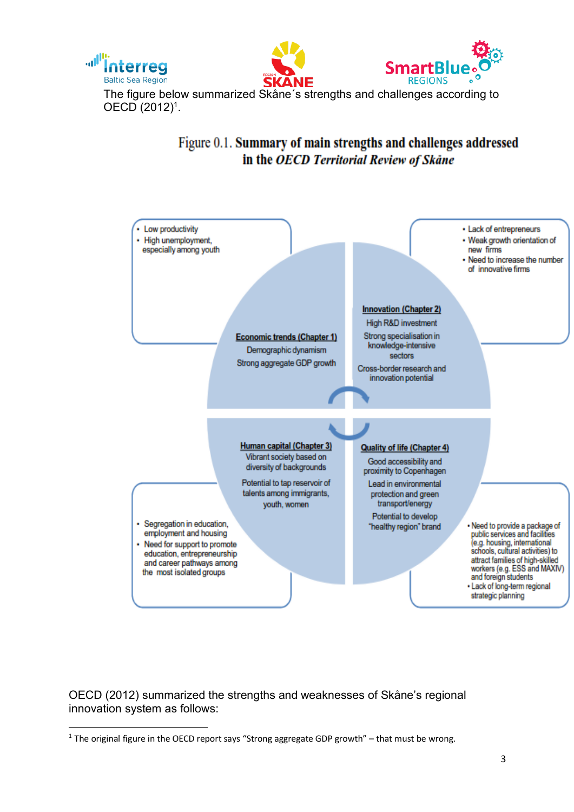





The figure below summarized Skåne´s strengths and challenges according to OECD (2012)1.

# Figure 0.1. Summary of main strengths and challenges addressed in the OECD Territorial Review of Skåne



OECD (2012) summarized the strengths and weaknesses of Skåne's regional innovation system as follows:

<sup>&</sup>lt;sup>1</sup> The original figure in the OECD report says "Strong aggregate GDP growth" – that must be wrong.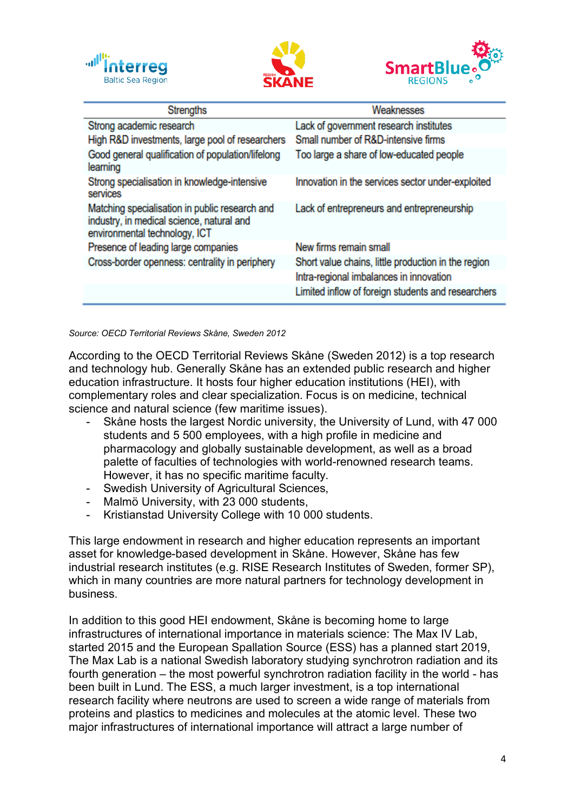





| <b>Strengths</b>                                                                                                             | Weaknesses                                          |
|------------------------------------------------------------------------------------------------------------------------------|-----------------------------------------------------|
| Strong academic research                                                                                                     | Lack of government research institutes              |
| High R&D investments, large pool of researchers                                                                              | Small number of R&D-intensive firms                 |
| Good general qualification of population/lifelong<br>learning                                                                | Too large a share of low-educated people            |
| Strong specialisation in knowledge-intensive<br>services                                                                     | Innovation in the services sector under-exploited   |
| Matching specialisation in public research and<br>industry, in medical science, natural and<br>environmental technology, ICT | Lack of entrepreneurs and entrepreneurship          |
| Presence of leading large companies                                                                                          | New firms remain small                              |
| Cross-border openness: centrality in periphery                                                                               | Short value chains, little production in the region |
|                                                                                                                              | Intra-regional imbalances in innovation             |
|                                                                                                                              | Limited inflow of foreign students and researchers  |

*Source: OECD Territorial Reviews Skåne, Sweden 2012*

According to the OECD Territorial Reviews Skåne (Sweden 2012) is a top research and technology hub. Generally Skåne has an extended public research and higher education infrastructure. It hosts four higher education institutions (HEI), with complementary roles and clear specialization. Focus is on medicine, technical science and natural science (few maritime issues).

- Skåne hosts the largest Nordic university, the University of Lund, with 47 000 students and 5 500 employees, with a high profile in medicine and pharmacology and globally sustainable development, as well as a broad palette of faculties of technologies with world-renowned research teams. However, it has no specific maritime faculty.
- Swedish University of Agricultural Sciences,
- Malmö University, with 23 000 students.
- Kristianstad University College with 10 000 students.

This large endowment in research and higher education represents an important asset for knowledge-based development in Skåne. However, Skåne has few industrial research institutes (e.g. RISE Research Institutes of Sweden, former SP), which in many countries are more natural partners for technology development in business.

In addition to this good HEI endowment, Skåne is becoming home to large infrastructures of international importance in materials science: The Max IV Lab, started 2015 and the European Spallation Source (ESS) has a planned start 2019, The Max Lab is a national Swedish laboratory studying synchrotron radiation and its fourth generation – the most powerful synchrotron radiation facility in the world - has been built in Lund. The ESS, a much larger investment, is a top international research facility where neutrons are used to screen a wide range of materials from proteins and plastics to medicines and molecules at the atomic level. These two major infrastructures of international importance will attract a large number of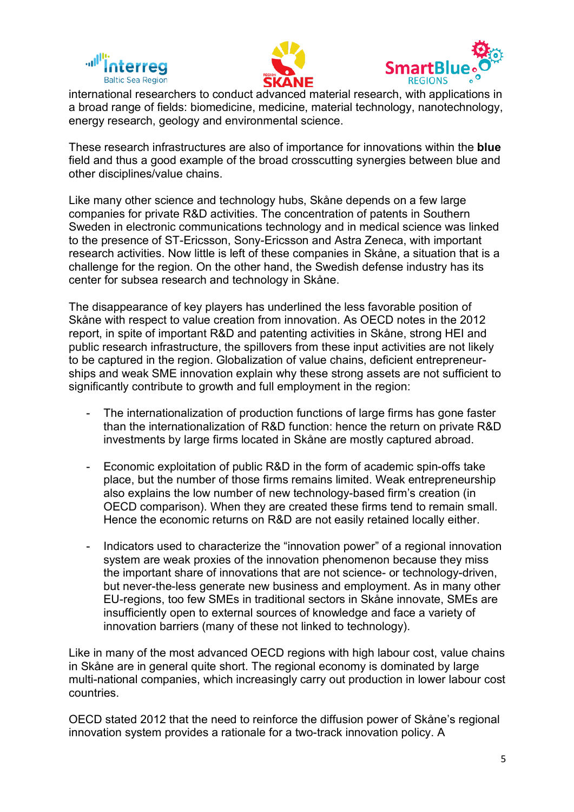





international researchers to conduct advanced material research, with applications in a broad range of fields: biomedicine, medicine, material technology, nanotechnology, energy research, geology and environmental science.

These research infrastructures are also of importance for innovations within the **blue** field and thus a good example of the broad crosscutting synergies between blue and other disciplines/value chains.

Like many other science and technology hubs, Skåne depends on a few large companies for private R&D activities. The concentration of patents in Southern Sweden in electronic communications technology and in medical science was linked to the presence of ST-Ericsson, Sony-Ericsson and Astra Zeneca, with important research activities. Now little is left of these companies in Skåne, a situation that is a challenge for the region. On the other hand, the Swedish defense industry has its center for subsea research and technology in Skåne.

The disappearance of key players has underlined the less favorable position of Skåne with respect to value creation from innovation. As OECD notes in the 2012 report, in spite of important R&D and patenting activities in Skåne, strong HEI and public research infrastructure, the spillovers from these input activities are not likely to be captured in the region. Globalization of value chains, deficient entrepreneurships and weak SME innovation explain why these strong assets are not sufficient to significantly contribute to growth and full employment in the region:

- The internationalization of production functions of large firms has gone faster than the internationalization of R&D function: hence the return on private R&D investments by large firms located in Skåne are mostly captured abroad.
- Economic exploitation of public R&D in the form of academic spin-offs take place, but the number of those firms remains limited. Weak entrepreneurship also explains the low number of new technology-based firm's creation (in OECD comparison). When they are created these firms tend to remain small. Hence the economic returns on R&D are not easily retained locally either.
- Indicators used to characterize the "innovation power" of a regional innovation system are weak proxies of the innovation phenomenon because they miss the important share of innovations that are not science- or technology-driven, but never-the-less generate new business and employment. As in many other EU-regions, too few SMEs in traditional sectors in Skåne innovate, SMEs are insufficiently open to external sources of knowledge and face a variety of innovation barriers (many of these not linked to technology).

Like in many of the most advanced OECD regions with high labour cost, value chains in Skåne are in general quite short. The regional economy is dominated by large multi-national companies, which increasingly carry out production in lower labour cost countries.

OECD stated 2012 that the need to reinforce the diffusion power of Skåne's regional innovation system provides a rationale for a two-track innovation policy. A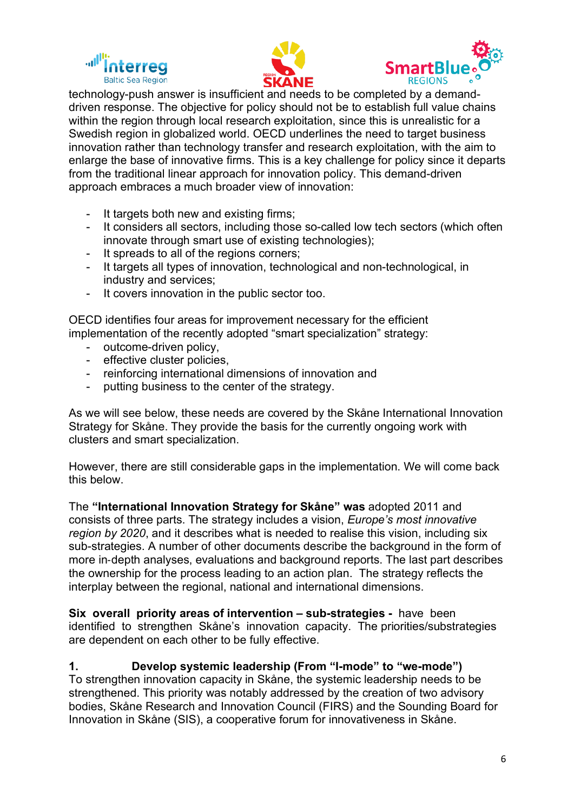





technology-push answer is insufficient and needs to be completed by a demanddriven response. The objective for policy should not be to establish full value chains within the region through local research exploitation, since this is unrealistic for a Swedish region in globalized world. OECD underlines the need to target business innovation rather than technology transfer and research exploitation, with the aim to enlarge the base of innovative firms. This is a key challenge for policy since it departs from the traditional linear approach for innovation policy. This demand-driven approach embraces a much broader view of innovation:

- It targets both new and existing firms;
- It considers all sectors, including those so-called low tech sectors (which often innovate through smart use of existing technologies):
- It spreads to all of the regions corners;
- It targets all types of innovation, technological and non-technological, in industry and services;
- It covers innovation in the public sector too.

OECD identifies four areas for improvement necessary for the efficient implementation of the recently adopted "smart specialization" strategy:

- outcome-driven policy,
- effective cluster policies,
- reinforcing international dimensions of innovation and
- putting business to the center of the strategy.

As we will see below, these needs are covered by the Skåne International Innovation Strategy for Skåne. They provide the basis for the currently ongoing work with clusters and smart specialization.

However, there are still considerable gaps in the implementation. We will come back this below.

The **"International Innovation Strategy for Skåne" was** adopted 2011 and consists of three parts. The strategy includes a vision, *Europe's most innovative region by 2020*, and it describes what is needed to realise this vision, including six sub-strategies. A number of other documents describe the background in the form of more in-depth analyses, evaluations and background reports. The last part describes the ownership for the process leading to an action plan. The strategy reflects the interplay between the regional, national and international dimensions.

**Six overall priority areas of intervention – sub-strategies -** have been identified to strengthen Skåne's innovation capacity. The priorities/substrategies are dependent on each other to be fully effective.

**1. Develop systemic leadership (From "I-mode" to "we-mode")** To strengthen innovation capacity in Skåne, the systemic leadership needs to be strengthened. This priority was notably addressed by the creation of two advisory bodies, Skåne Research and Innovation Council (FIRS) and the Sounding Board for Innovation in Skåne (SIS), a cooperative forum for innovativeness in Skåne.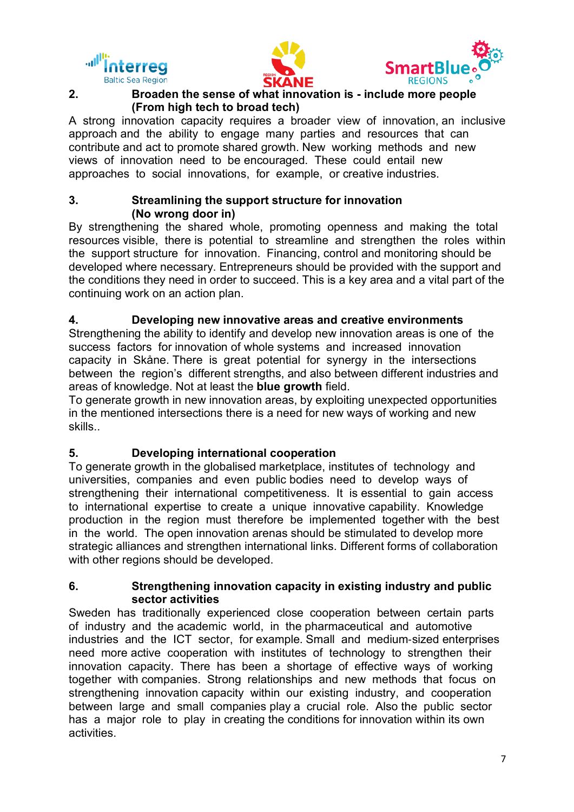





#### **2. Broaden the sense of what innovation is - include more people (From high tech to broad tech)**

A strong innovation capacity requires a broader view of innovation, an inclusive approach and the ability to engage many parties and resources that can contribute and act to promote shared growth. New working methods and new views of innovation need to be encouraged. These could entail new approaches to social innovations, for example, or creative industries.

### **3. Streamlining the support structure for innovation (No wrong door in)**

By strengthening the shared whole, promoting openness and making the total resources visible, there is potential to streamline and strengthen the roles within the support structure for innovation. Financing, control and monitoring should be developed where necessary. Entrepreneurs should be provided with the support and the conditions they need in order to succeed. This is a key area and a vital part of the continuing work on an action plan.

# **4. Developing new innovative areas and creative environments**

Strengthening the ability to identify and develop new innovation areas is one of the success factors for innovation of whole systems and increased innovation capacity in Skåne. There is great potential for synergy in the intersections between the region's different strengths, and also between different industries and areas of knowledge. Not at least the **blue growth** field.

To generate growth in new innovation areas, by exploiting unexpected opportunities in the mentioned intersections there is a need for new ways of working and new skills..

# **5. Developing international cooperation**

To generate growth in the globalised marketplace, institutes of technology and universities, companies and even public bodies need to develop ways of strengthening their international competitiveness. It is essential to gain access to international expertise to create a unique innovative capability. Knowledge production in the region must therefore be implemented together with the best in the world. The open innovation arenas should be stimulated to develop more strategic alliances and strengthen international links. Different forms of collaboration with other regions should be developed.

# **6. Strengthening innovation capacity in existing industry and public sector activities**

Sweden has traditionally experienced close cooperation between certain parts of industry and the academic world, in the pharmaceutical and automotive industries and the ICT sector, for example. Small and medium-sized enterprises need more active cooperation with institutes of technology to strengthen their innovation capacity. There has been a shortage of effective ways of working together with companies. Strong relationships and new methods that focus on strengthening innovation capacity within our existing industry, and cooperation between large and small companies play a crucial role. Also the public sector has a major role to play in creating the conditions for innovation within its own activities.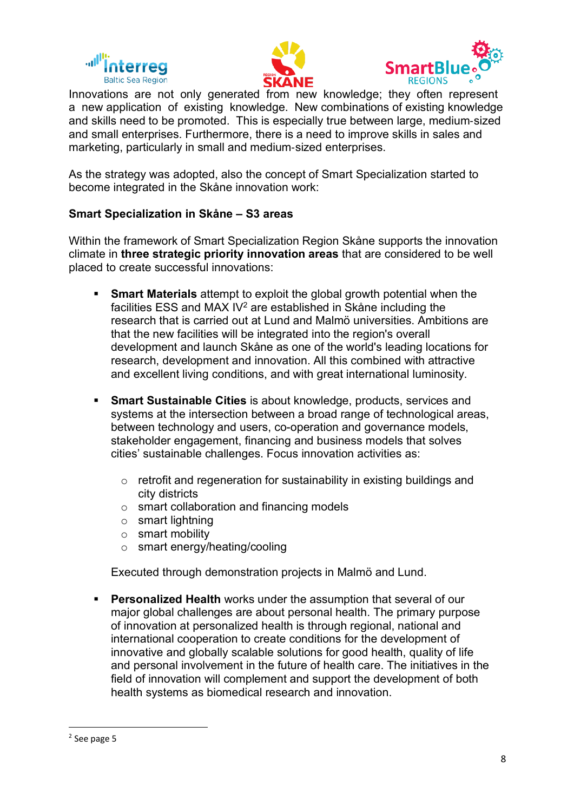





Innovations are not only generated from new knowledge; they often represent a new application of existing knowledge. New combinations of existing knowledge and skills need to be promoted. This is especially true between large, medium-sized and small enterprises. Furthermore, there is a need to improve skills in sales and marketing, particularly in small and medium-sized enterprises.

As the strategy was adopted, also the concept of Smart Specialization started to become integrated in the Skåne innovation work:

### **Smart Specialization in Skåne – S3 areas**

Within the framework of Smart Specialization Region Skåne supports the innovation climate in **three strategic priority innovation areas** that are considered to be well placed to create successful innovations:

- § **Smart Materials** attempt to exploit the global growth potential when the facilities ESS and MAX IV<sup>2</sup> are established in Skåne including the research that is carried out at Lund and Malmö universities. Ambitions are that the new facilities will be integrated into the region's overall development and launch Skåne as one of the world's leading locations for research, development and innovation. All this combined with attractive and excellent living conditions, and with great international luminosity.
- § **Smart Sustainable Cities** is about knowledge, products, services and systems at the intersection between a broad range of technological areas, between technology and users, co-operation and governance models, stakeholder engagement, financing and business models that solves cities' sustainable challenges. Focus innovation activities as:
	- o retrofit and regeneration for sustainability in existing buildings and city districts
	- o smart collaboration and financing models
	- o smart lightning
	- o smart mobility
	- o smart energy/heating/cooling

Executed through demonstration projects in Malmö and Lund.

**• Personalized Health** works under the assumption that several of our major global challenges are about personal health. The primary purpose of innovation at personalized health is through regional, national and international cooperation to create conditions for the development of innovative and globally scalable solutions for good health, quality of life and personal involvement in the future of health care. The initiatives in the field of innovation will complement and support the development of both health systems as biomedical research and innovation.

 <sup>2</sup> See page 5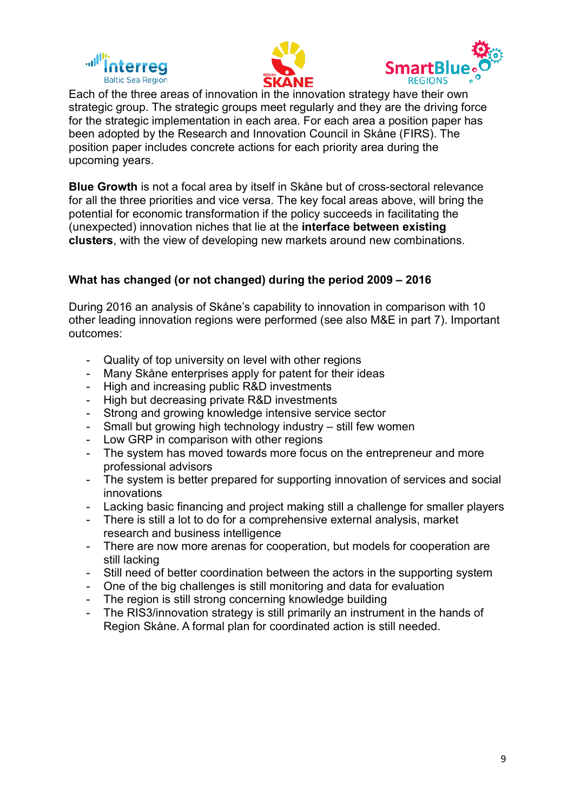





Each of the three areas of innovation in the innovation strategy have their own strategic group. The strategic groups meet regularly and they are the driving force for the strategic implementation in each area. For each area a position paper has been adopted by the Research and Innovation Council in Skåne (FIRS). The position paper includes concrete actions for each priority area during the upcoming years.

**Blue Growth** is not a focal area by itself in Skåne but of cross-sectoral relevance for all the three priorities and vice versa. The key focal areas above, will bring the potential for economic transformation if the policy succeeds in facilitating the (unexpected) innovation niches that lie at the **interface between existing clusters**, with the view of developing new markets around new combinations.

# **What has changed (or not changed) during the period 2009 – 2016**

During 2016 an analysis of Skåne's capability to innovation in comparison with 10 other leading innovation regions were performed (see also M&E in part 7). Important outcomes:

- Quality of top university on level with other regions
- Many Skåne enterprises apply for patent for their ideas
- High and increasing public R&D investments
- High but decreasing private R&D investments
- Strong and growing knowledge intensive service sector
- Small but growing high technology industry still few women
- Low GRP in comparison with other regions
- The system has moved towards more focus on the entrepreneur and more professional advisors
- The system is better prepared for supporting innovation of services and social innovations
- Lacking basic financing and project making still a challenge for smaller players
- There is still a lot to do for a comprehensive external analysis, market research and business intelligence
- There are now more arenas for cooperation, but models for cooperation are still lacking
- Still need of better coordination between the actors in the supporting system
- One of the big challenges is still monitoring and data for evaluation
- The region is still strong concerning knowledge building
- The RIS3/innovation strategy is still primarily an instrument in the hands of Region Skåne. A formal plan for coordinated action is still needed.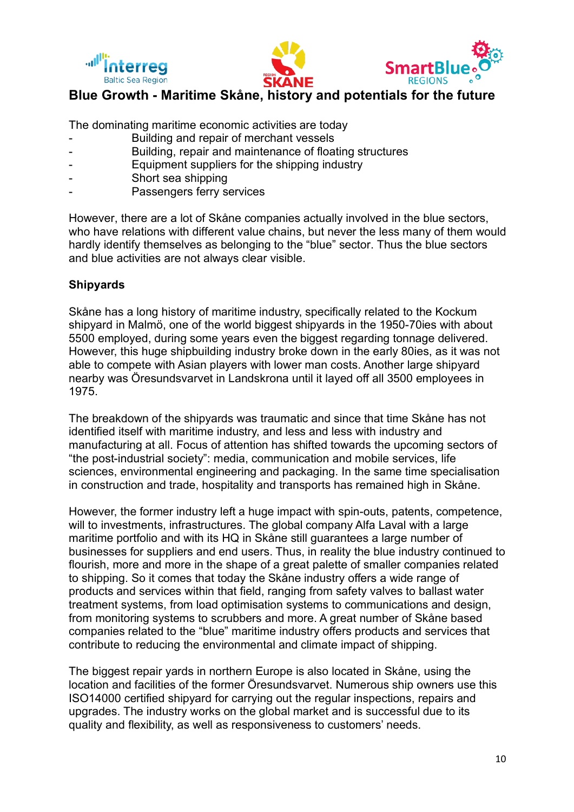





# **Blue Growth - Maritime Skåne, history and potentials for the future**

The dominating maritime economic activities are today

- Building and repair of merchant vessels
- Building, repair and maintenance of floating structures
- Equipment suppliers for the shipping industry
- Short sea shipping
- Passengers ferry services

However, there are a lot of Skåne companies actually involved in the blue sectors, who have relations with different value chains, but never the less many of them would hardly identify themselves as belonging to the "blue" sector. Thus the blue sectors and blue activities are not always clear visible.

# **Shipyards**

Skåne has a long history of maritime industry, specifically related to the Kockum shipyard in Malmö, one of the world biggest shipyards in the 1950-70ies with about 5500 employed, during some years even the biggest regarding tonnage delivered. However, this huge shipbuilding industry broke down in the early 80ies, as it was not able to compete with Asian players with lower man costs. Another large shipyard nearby was Öresundsvarvet in Landskrona until it layed off all 3500 employees in 1975.

The breakdown of the shipyards was traumatic and since that time Skåne has not identified itself with maritime industry, and less and less with industry and manufacturing at all. Focus of attention has shifted towards the upcoming sectors of "the post-industrial society": media, communication and mobile services, life sciences, environmental engineering and packaging. In the same time specialisation in construction and trade, hospitality and transports has remained high in Skåne.

However, the former industry left a huge impact with spin-outs, patents, competence, will to investments, infrastructures. The global company Alfa Laval with a large maritime portfolio and with its HQ in Skåne still guarantees a large number of businesses for suppliers and end users. Thus, in reality the blue industry continued to flourish, more and more in the shape of a great palette of smaller companies related to shipping. So it comes that today the Skåne industry offers a wide range of products and services within that field, ranging from safety valves to ballast water treatment systems, from load optimisation systems to communications and design, from monitoring systems to scrubbers and more. A great number of Skåne based companies related to the "blue" maritime industry offers products and services that contribute to reducing the environmental and climate impact of shipping.

The biggest repair yards in northern Europe is also located in Skåne, using the location and facilities of the former Öresundsvarvet. Numerous ship owners use this ISO14000 certified shipyard for carrying out the regular inspections, repairs and upgrades. The industry works on the global market and is successful due to its quality and flexibility, as well as responsiveness to customers' needs.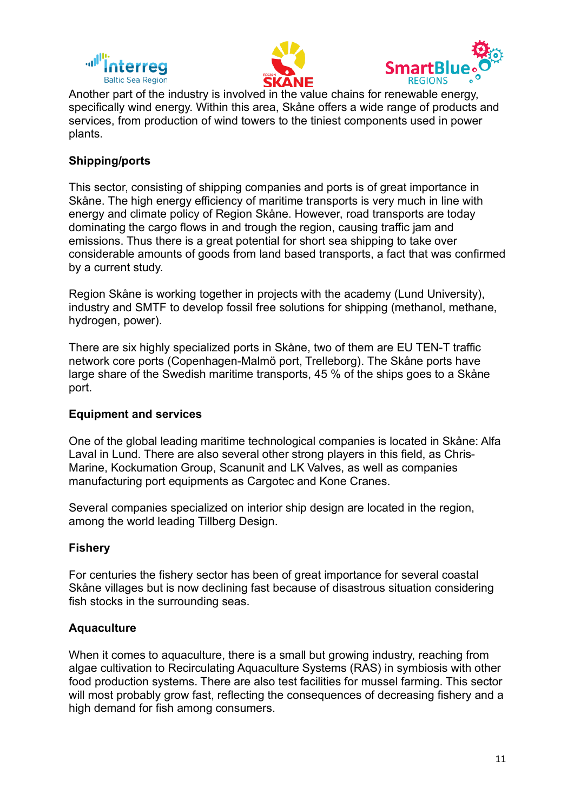





Another part of the industry is involved in the value chains for renewable energy, specifically wind energy. Within this area, Skåne offers a wide range of products and services, from production of wind towers to the tiniest components used in power plants.

# **Shipping/ports**

This sector, consisting of shipping companies and ports is of great importance in Skåne. The high energy efficiency of maritime transports is very much in line with energy and climate policy of Region Skåne. However, road transports are today dominating the cargo flows in and trough the region, causing traffic jam and emissions. Thus there is a great potential for short sea shipping to take over considerable amounts of goods from land based transports, a fact that was confirmed by a current study.

Region Skåne is working together in projects with the academy (Lund University), industry and SMTF to develop fossil free solutions for shipping (methanol, methane, hydrogen, power).

There are six highly specialized ports in Skåne, two of them are EU TEN-T traffic network core ports (Copenhagen-Malmö port, Trelleborg). The Skåne ports have large share of the Swedish maritime transports, 45 % of the ships goes to a Skåne port.

# **Equipment and services**

One of the global leading maritime technological companies is located in Skåne: Alfa Laval in Lund. There are also several other strong players in this field, as Chris-Marine, Kockumation Group, Scanunit and LK Valves, as well as companies manufacturing port equipments as Cargotec and Kone Cranes.

Several companies specialized on interior ship design are located in the region, among the world leading Tillberg Design.

# **Fishery**

For centuries the fishery sector has been of great importance for several coastal Skåne villages but is now declining fast because of disastrous situation considering fish stocks in the surrounding seas.

# **Aquaculture**

When it comes to aquaculture, there is a small but growing industry, reaching from algae cultivation to Recirculating Aquaculture Systems (RAS) in symbiosis with other food production systems. There are also test facilities for mussel farming. This sector will most probably grow fast, reflecting the consequences of decreasing fishery and a high demand for fish among consumers.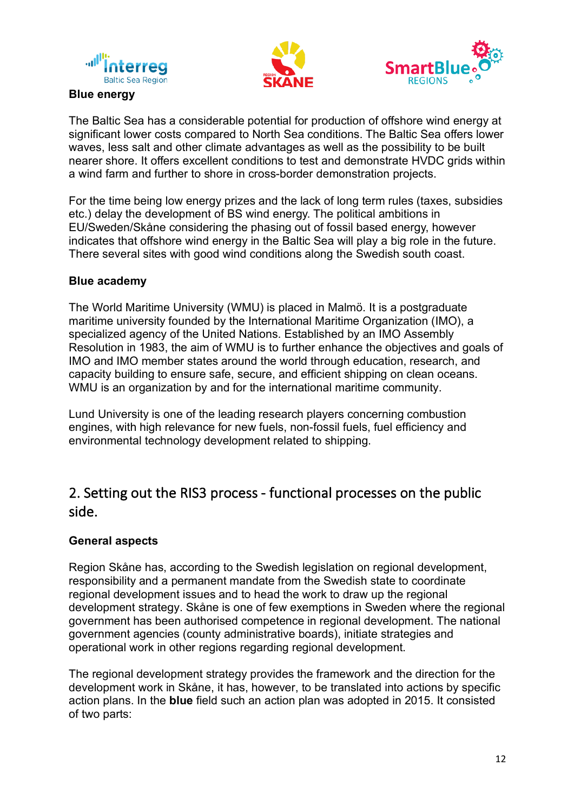





#### **Blue energy**

The Baltic Sea has a considerable potential for production of offshore wind energy at significant lower costs compared to North Sea conditions. The Baltic Sea offers lower waves, less salt and other climate advantages as well as the possibility to be built nearer shore. It offers excellent conditions to test and demonstrate HVDC grids within a wind farm and further to shore in cross-border demonstration projects.

For the time being low energy prizes and the lack of long term rules (taxes, subsidies etc.) delay the development of BS wind energy. The political ambitions in EU/Sweden/Skåne considering the phasing out of fossil based energy, however indicates that offshore wind energy in the Baltic Sea will play a big role in the future. There several sites with good wind conditions along the Swedish south coast.

#### **Blue academy**

The World Maritime University (WMU) is placed in Malmö. It is a postgraduate maritime university founded by the International Maritime Organization (IMO), a specialized agency of the United Nations. Established by an IMO Assembly Resolution in 1983, the aim of WMU is to further enhance the objectives and goals of IMO and IMO member states around the world through education, research, and capacity building to ensure safe, secure, and efficient shipping on clean oceans. WMU is an organization by and for the international maritime community.

Lund University is one of the leading research players concerning combustion engines, with high relevance for new fuels, non-fossil fuels, fuel efficiency and environmental technology development related to shipping.

# 2. Setting out the RIS3 process - functional processes on the public side.

# **General aspects**

Region Skåne has, according to the Swedish legislation on regional development, responsibility and a permanent mandate from the Swedish state to coordinate regional development issues and to head the work to draw up the regional development strategy. Skåne is one of few exemptions in Sweden where the regional government has been authorised competence in regional development. The national government agencies (county administrative boards), initiate strategies and operational work in other regions regarding regional development.

The regional development strategy provides the framework and the direction for the development work in Skåne, it has, however, to be translated into actions by specific action plans. In the **blue** field such an action plan was adopted in 2015. It consisted of two parts: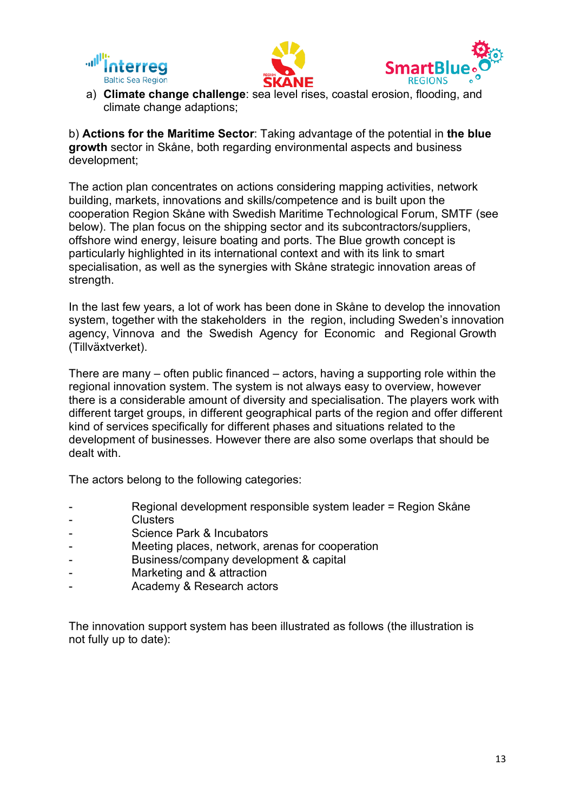





a) **Climate change challenge**: sea level rises, coastal erosion, flooding, and climate change adaptions;

b) **Actions for the Maritime Sector**: Taking advantage of the potential in **the blue growth** sector in Skåne, both regarding environmental aspects and business development;

The action plan concentrates on actions considering mapping activities, network building, markets, innovations and skills/competence and is built upon the cooperation Region Skåne with Swedish Maritime Technological Forum, SMTF (see below). The plan focus on the shipping sector and its subcontractors/suppliers, offshore wind energy, leisure boating and ports. The Blue growth concept is particularly highlighted in its international context and with its link to smart specialisation, as well as the synergies with Skåne strategic innovation areas of strength.

In the last few years, a lot of work has been done in Skåne to develop the innovation system, together with the stakeholders in the region, including Sweden's innovation agency, Vinnova and the Swedish Agency for Economic and Regional Growth (Tillväxtverket).

There are many – often public financed – actors, having a supporting role within the regional innovation system. The system is not always easy to overview, however there is a considerable amount of diversity and specialisation. The players work with different target groups, in different geographical parts of the region and offer different kind of services specifically for different phases and situations related to the development of businesses. However there are also some overlaps that should be dealt with.

The actors belong to the following categories:

- Regional development responsible system leader = Region Skåne
- **Clusters**
- Science Park & Incubators
- Meeting places, network, arenas for cooperation
- Business/company development & capital
- Marketing and & attraction
- Academy & Research actors

The innovation support system has been illustrated as follows (the illustration is not fully up to date):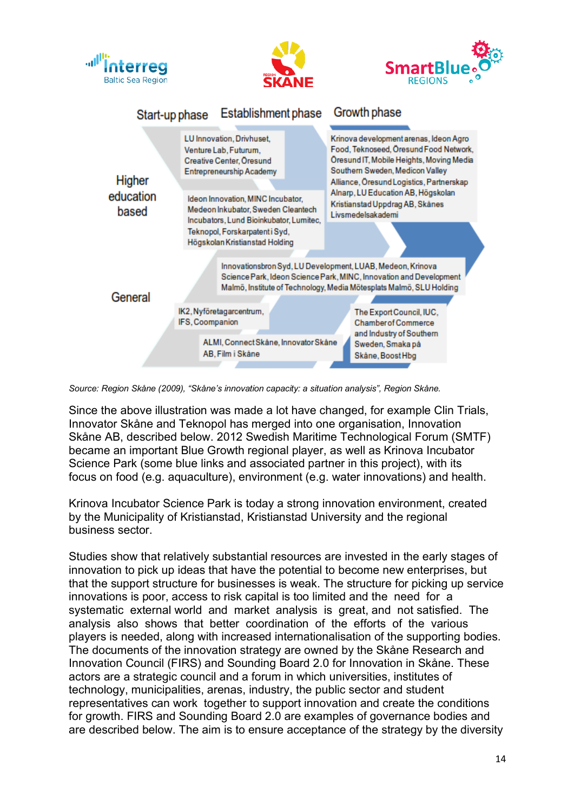

*Source: Region Skåne (2009), "Skåne's innovation capacity: a situation analysis", Region Skåne.*

Since the above illustration was made a lot have changed, for example Clin Trials, Innovator Skåne and Teknopol has merged into one organisation, Innovation Skåne AB, described below. 2012 Swedish Maritime Technological Forum (SMTF) became an important Blue Growth regional player, as well as Krinova Incubator Science Park (some blue links and associated partner in this project), with its focus on food (e.g. aquaculture), environment (e.g. water innovations) and health.

Krinova Incubator Science Park is today a strong innovation environment, created by the Municipality of Kristianstad, Kristianstad University and the regional business sector.

Studies show that relatively substantial resources are invested in the early stages of innovation to pick up ideas that have the potential to become new enterprises, but that the support structure for businesses is weak. The structure for picking up service innovations is poor, access to risk capital is too limited and the need for a systematic external world and market analysis is great, and not satisfied. The analysis also shows that better coordination of the efforts of the various players is needed, along with increased internationalisation of the supporting bodies. The documents of the innovation strategy are owned by the Skåne Research and Innovation Council (FIRS) and Sounding Board 2.0 for Innovation in Skåne. These actors are a strategic council and a forum in which universities, institutes of technology, municipalities, arenas, industry, the public sector and student representatives can work together to support innovation and create the conditions for growth. FIRS and Sounding Board 2.0 are examples of governance bodies and are described below. The aim is to ensure acceptance of the strategy by the diversity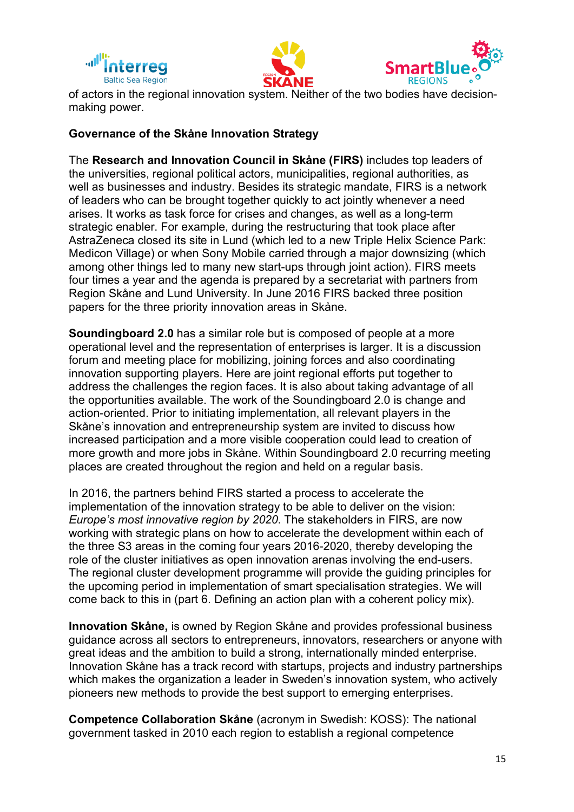





of actors in the regional innovation system. Neither of the two bodies have decisionmaking power.

#### **Governance of the Skåne Innovation Strategy**

The **Research and Innovation Council in Skåne (FIRS)** includes top leaders of the universities, regional political actors, municipalities, regional authorities, as well as businesses and industry. Besides its strategic mandate, FIRS is a network of leaders who can be brought together quickly to act jointly whenever a need arises. It works as task force for crises and changes, as well as a long-term strategic enabler. For example, during the restructuring that took place after AstraZeneca closed its site in Lund (which led to a new Triple Helix Science Park: Medicon Village) or when Sony Mobile carried through a major downsizing (which among other things led to many new start-ups through joint action). FIRS meets four times a year and the agenda is prepared by a secretariat with partners from Region Skåne and Lund University. In June 2016 FIRS backed three position papers for the three priority innovation areas in Skåne.

**Soundingboard 2.0** has a similar role but is composed of people at a more operational level and the representation of enterprises is larger. It is a discussion forum and meeting place for mobilizing, joining forces and also coordinating innovation supporting players. Here are joint regional efforts put together to address the challenges the region faces. It is also about taking advantage of all the opportunities available. The work of the Soundingboard 2.0 is change and action-oriented. Prior to initiating implementation, all relevant players in the Skåne's innovation and entrepreneurship system are invited to discuss how increased participation and a more visible cooperation could lead to creation of more growth and more jobs in Skåne. Within Soundingboard 2.0 recurring meeting places are created throughout the region and held on a regular basis.

In 2016, the partners behind FIRS started a process to accelerate the implementation of the innovation strategy to be able to deliver on the vision: *Europe's most innovative region by 2020*. The stakeholders in FIRS, are now working with strategic plans on how to accelerate the development within each of the three S3 areas in the coming four years 2016-2020, thereby developing the role of the cluster initiatives as open innovation arenas involving the end-users. The regional cluster development programme will provide the guiding principles for the upcoming period in implementation of smart specialisation strategies. We will come back to this in (part 6. Defining an action plan with a coherent policy mix).

**Innovation Skåne,** is owned by Region Skåne and provides professional business guidance across all sectors to entrepreneurs, innovators, researchers or anyone with great ideas and the ambition to build a strong, internationally minded enterprise. Innovation Skåne has a track record with startups, projects and industry partnerships which makes the organization a leader in Sweden's innovation system, who actively pioneers new methods to provide the best support to emerging enterprises.

**Competence Collaboration Skåne** (acronym in Swedish: KOSS): The national government tasked in 2010 each region to establish a regional competence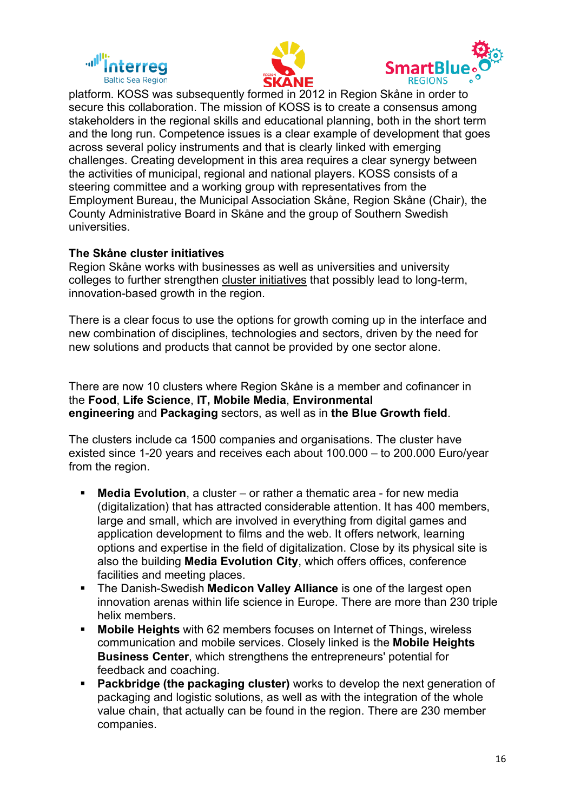





platform. KOSS was subsequently formed in 2012 in Region Skåne in order to secure this collaboration. The mission of KOSS is to create a consensus among stakeholders in the regional skills and educational planning, both in the short term and the long run. Competence issues is a clear example of development that goes across several policy instruments and that is clearly linked with emerging challenges. Creating development in this area requires a clear synergy between the activities of municipal, regional and national players. KOSS consists of a steering committee and a working group with representatives from the Employment Bureau, the Municipal Association Skåne, Region Skåne (Chair), the County Administrative Board in Skåne and the group of Southern Swedish universities.

#### **The Skåne cluster initiatives**

Region Skåne works with businesses as well as universities and university colleges to further strengthen cluster initiatives that possibly lead to long-term, innovation-based growth in the region.

There is a clear focus to use the options for growth coming up in the interface and new combination of disciplines, technologies and sectors, driven by the need for new solutions and products that cannot be provided by one sector alone.

There are now 10 clusters where Region Skåne is a member and cofinancer in the **Food**, **Life Science**, **IT, Mobile Media**, **Environmental engineering** and **Packaging** sectors, as well as in **the Blue Growth field**.

The clusters include ca 1500 companies and organisations. The cluster have existed since 1-20 years and receives each about 100.000 – to 200.000 Euro/year from the region.

- § **Media Evolution**, a cluster or rather a thematic area for new media (digitalization) that has attracted considerable attention. It has 400 members, large and small, which are involved in everything from digital games and application development to films and the web. It offers network, learning options and expertise in the field of digitalization. Close by its physical site is also the building **Media Evolution City**, which offers offices, conference facilities and meeting places.
- § The Danish-Swedish **Medicon Valley Alliance** is one of the largest open innovation arenas within life science in Europe. There are more than 230 triple helix members.
- § **Mobile Heights** with 62 members focuses on Internet of Things, wireless communication and mobile services. Closely linked is the **Mobile Heights Business Center**, which strengthens the entrepreneurs' potential for feedback and coaching.
- § **Packbridge (the packaging cluster)** works to develop the next generation of packaging and logistic solutions, as well as with the integration of the whole value chain, that actually can be found in the region. There are 230 member companies.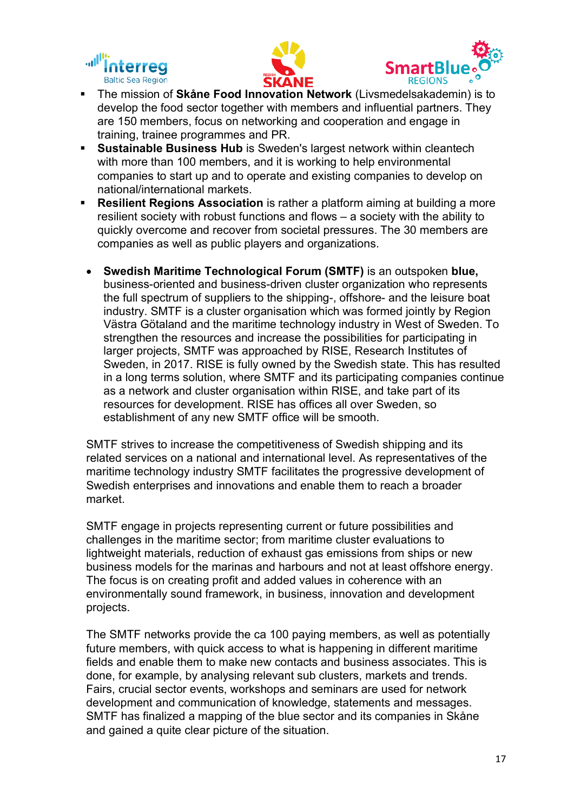





- § The mission of **Skåne Food Innovation Network** (Livsmedelsakademin) is to develop the food sector together with members and influential partners. They are 150 members, focus on networking and cooperation and engage in training, trainee programmes and PR.
- § **Sustainable Business Hub** is Sweden's largest network within cleantech with more than 100 members, and it is working to help environmental companies to start up and to operate and existing companies to develop on national/international markets.
- § **Resilient Regions Association** is rather a platform aiming at building a more resilient society with robust functions and flows – a society with the ability to quickly overcome and recover from societal pressures. The 30 members are companies as well as public players and organizations.
- **Swedish Maritime Technological Forum (SMTF)** is an outspoken **blue,** business-oriented and business-driven cluster organization who represents the full spectrum of suppliers to the shipping-, offshore- and the leisure boat industry. SMTF is a cluster organisation which was formed jointly by Region Västra Götaland and the maritime technology industry in West of Sweden. To strengthen the resources and increase the possibilities for participating in larger projects, SMTF was approached by RISE, Research Institutes of Sweden, in 2017. RISE is fully owned by the Swedish state. This has resulted in a long terms solution, where SMTF and its participating companies continue as a network and cluster organisation within RISE, and take part of its resources for development. RISE has offices all over Sweden, so establishment of any new SMTF office will be smooth.

SMTF strives to increase the competitiveness of Swedish shipping and its related services on a national and international level. As representatives of the maritime technology industry SMTF facilitates the progressive development of Swedish enterprises and innovations and enable them to reach a broader market.

SMTF engage in projects representing current or future possibilities and challenges in the maritime sector; from maritime cluster evaluations to lightweight materials, reduction of exhaust gas emissions from ships or new business models for the marinas and harbours and not at least offshore energy. The focus is on creating profit and added values in coherence with an environmentally sound framework, in business, innovation and development projects.

The SMTF networks provide the ca 100 paying members, as well as potentially future members, with quick access to what is happening in different maritime fields and enable them to make new contacts and business associates. This is done, for example, by analysing relevant sub clusters, markets and trends. Fairs, crucial sector events, workshops and seminars are used for network development and communication of knowledge, statements and messages. SMTF has finalized a mapping of the blue sector and its companies in Skåne and gained a quite clear picture of the situation.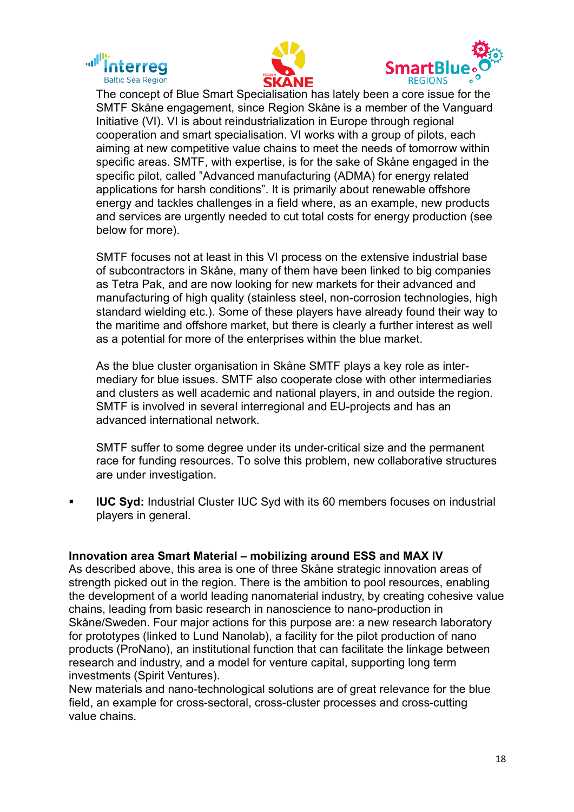





The concept of Blue Smart Specialisation has lately been a core issue for the SMTF Skåne engagement, since Region Skåne is a member of the Vanguard Initiative (VI). VI is about reindustrialization in Europe through regional cooperation and smart specialisation. VI works with a group of pilots, each aiming at new competitive value chains to meet the needs of tomorrow within specific areas. SMTF, with expertise, is for the sake of Skåne engaged in the specific pilot, called "Advanced manufacturing (ADMA) for energy related applications for harsh conditions". It is primarily about renewable offshore energy and tackles challenges in a field where, as an example, new products and services are urgently needed to cut total costs for energy production (see below for more).

SMTF focuses not at least in this VI process on the extensive industrial base of subcontractors in Skåne, many of them have been linked to big companies as Tetra Pak, and are now looking for new markets for their advanced and manufacturing of high quality (stainless steel, non-corrosion technologies, high standard wielding etc.). Some of these players have already found their way to the maritime and offshore market, but there is clearly a further interest as well as a potential for more of the enterprises within the blue market.

As the blue cluster organisation in Skåne SMTF plays a key role as intermediary for blue issues. SMTF also cooperate close with other intermediaries and clusters as well academic and national players, in and outside the region. SMTF is involved in several interregional and EU-projects and has an advanced international network.

SMTF suffer to some degree under its under-critical size and the permanent race for funding resources. To solve this problem, new collaborative structures are under investigation.

**IUC Syd:** Industrial Cluster IUC Syd with its 60 members focuses on industrial players in general.

#### **Innovation area Smart Material – mobilizing around ESS and MAX IV**

As described above, this area is one of three Skåne strategic innovation areas of strength picked out in the region. There is the ambition to pool resources, enabling the development of a world leading nanomaterial industry, by creating cohesive value chains, leading from basic research in nanoscience to nano-production in Skåne/Sweden. Four major actions for this purpose are: a new research laboratory for prototypes (linked to Lund Nanolab), a facility for the pilot production of nano products (ProNano), an institutional function that can facilitate the linkage between research and industry, and a model for venture capital, supporting long term investments (Spirit Ventures).

New materials and nano-technological solutions are of great relevance for the blue field, an example for cross-sectoral, cross-cluster processes and cross-cutting value chains.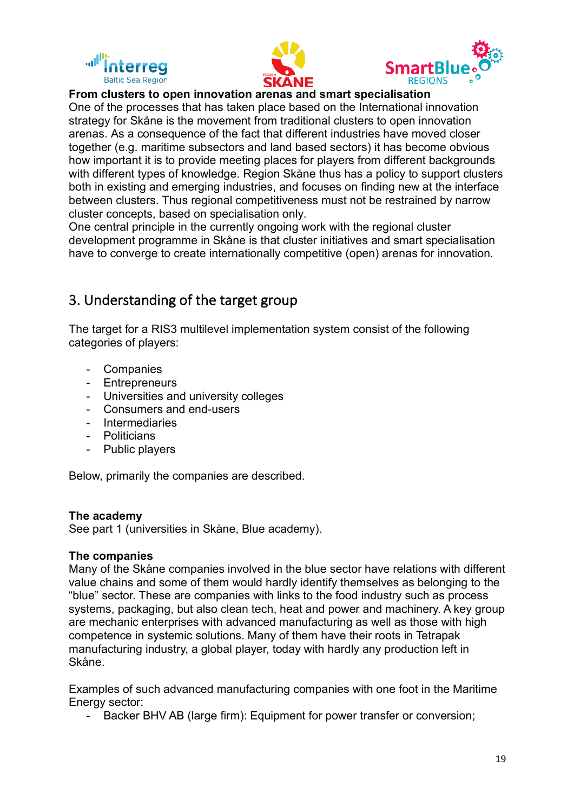





## **From clusters to open innovation arenas and smart specialisation**

One of the processes that has taken place based on the International innovation strategy for Skåne is the movement from traditional clusters to open innovation arenas. As a consequence of the fact that different industries have moved closer together (e.g. maritime subsectors and land based sectors) it has become obvious how important it is to provide meeting places for players from different backgrounds with different types of knowledge. Region Skåne thus has a policy to support clusters both in existing and emerging industries, and focuses on finding new at the interface between clusters. Thus regional competitiveness must not be restrained by narrow cluster concepts, based on specialisation only.

One central principle in the currently ongoing work with the regional cluster development programme in Skåne is that cluster initiatives and smart specialisation have to converge to create internationally competitive (open) arenas for innovation.

# 3. Understanding of the target group

The target for a RIS3 multilevel implementation system consist of the following categories of players:

- Companies
- Entrepreneurs
- Universities and university colleges
- Consumers and end-users
- Intermediaries
- **Politicians**
- Public players

Below, primarily the companies are described.

#### **The academy**

See part 1 (universities in Skåne, Blue academy).

#### **The companies**

Many of the Skåne companies involved in the blue sector have relations with different value chains and some of them would hardly identify themselves as belonging to the "blue" sector. These are companies with links to the food industry such as process systems, packaging, but also clean tech, heat and power and machinery. A key group are mechanic enterprises with advanced manufacturing as well as those with high competence in systemic solutions. Many of them have their roots in Tetrapak manufacturing industry, a global player, today with hardly any production left in Skåne.

Examples of such advanced manufacturing companies with one foot in the Maritime Energy sector:

Backer BHV AB (large firm): Equipment for power transfer or conversion;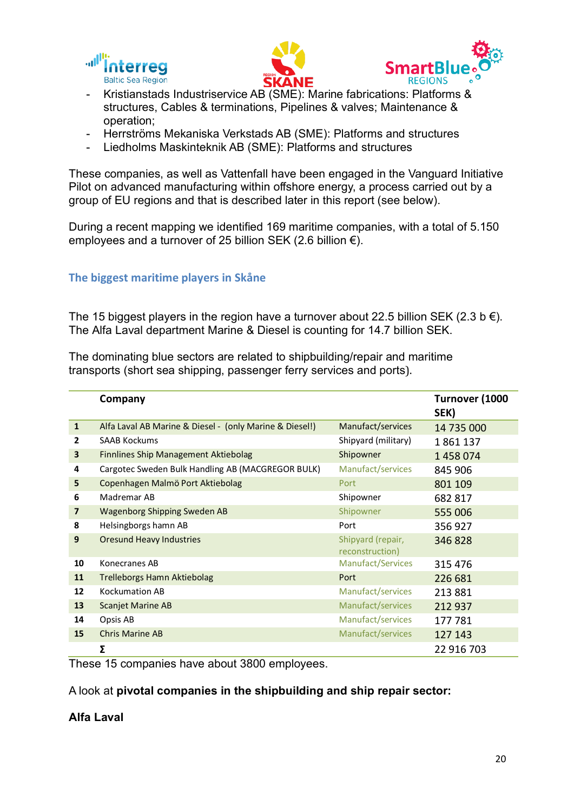





- Kristianstads Industriservice AB (SME): Marine fabrications: Platforms & structures, Cables & terminations, Pipelines & valves; Maintenance & operation;
- Herrströms Mekaniska Verkstads AB (SME): Platforms and structures
- Liedholms Maskinteknik AB (SME): Platforms and structures

These companies, as well as Vattenfall have been engaged in the Vanguard Initiative Pilot on advanced manufacturing within offshore energy, a process carried out by a group of EU regions and that is described later in this report (see below).

During a recent mapping we identified 169 maritime companies, with a total of 5.150 employees and a turnover of 25 billion SEK (2.6 billion  $\epsilon$ ).

### **The biggest maritime players in Skåne**

The 15 biggest players in the region have a turnover about 22.5 billion SEK (2.3 b  $\epsilon$ ). The Alfa Laval department Marine & Diesel is counting for 14.7 billion SEK.

The dominating blue sectors are related to shipbuilding/repair and maritime transports (short sea shipping, passenger ferry services and ports).

|                | Company                                                 |                                      | Turnover (1000<br>SEK) |
|----------------|---------------------------------------------------------|--------------------------------------|------------------------|
| $\mathbf{1}$   | Alfa Laval AB Marine & Diesel - (only Marine & Diesel!) | Manufact/services                    | 14 735 000             |
| 2              | <b>SAAB Kockums</b>                                     | Shipyard (military)                  | 1861137                |
| 3              | <b>Finnlines Ship Management Aktiebolag</b>             | Shipowner                            | 1458074                |
| 4              | Cargotec Sweden Bulk Handling AB (MACGREGOR BULK)       | Manufact/services                    | 845 906                |
| 5              | Copenhagen Malmö Port Aktiebolag                        | Port                                 | 801 109                |
| 6              | Madremar AB                                             | Shipowner                            | 682 817                |
| $\overline{7}$ | <b>Wagenborg Shipping Sweden AB</b>                     | Shipowner                            | 555 006                |
| 8              | Helsingborgs hamn AB                                    | Port                                 | 356 927                |
| 9              | <b>Oresund Heavy Industries</b>                         | Shipyard (repair,<br>reconstruction) | 346 828                |
| 10             | Konecranes AB                                           | Manufact/Services                    | 315 476                |
| 11             | Trelleborgs Hamn Aktiebolag                             | Port                                 | 226 681                |
| 12             | <b>Kockumation AB</b>                                   | Manufact/services                    | 213 881                |
| 13             | <b>Scanjet Marine AB</b>                                | Manufact/services                    | 212 937                |
| 14             | Opsis AB                                                | Manufact/services                    | 177 781                |
| 15             | <b>Chris Marine AB</b>                                  | Manufact/services                    | 127 143                |
|                | Σ                                                       |                                      | 22 916 703             |

These 15 companies have about 3800 employees.

A look at **pivotal companies in the shipbuilding and ship repair sector:**

#### **Alfa Laval**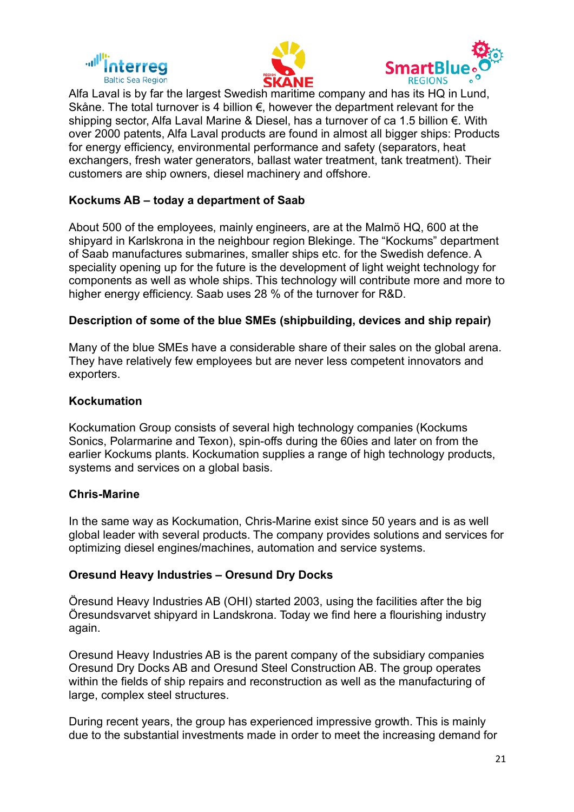





Alfa Laval is by far the largest Swedish maritime company and has its HQ in Lund, Skåne. The total turnover is 4 billion €, however the department relevant for the shipping sector, Alfa Laval Marine & Diesel, has a turnover of ca 1.5 billion €. With over 2000 patents, Alfa Laval products are found in almost all bigger ships: Products for energy efficiency, environmental performance and safety (separators, heat exchangers, fresh water generators, ballast water treatment, tank treatment). Their customers are ship owners, diesel machinery and offshore.

### **Kockums AB – today a department of Saab**

About 500 of the employees, mainly engineers, are at the Malmö HQ, 600 at the shipyard in Karlskrona in the neighbour region Blekinge. The "Kockums" department of Saab manufactures submarines, smaller ships etc. for the Swedish defence. A speciality opening up for the future is the development of light weight technology for components as well as whole ships. This technology will contribute more and more to higher energy efficiency. Saab uses 28 % of the turnover for R&D.

#### **Description of some of the blue SMEs (shipbuilding, devices and ship repair)**

Many of the blue SMEs have a considerable share of their sales on the global arena. They have relatively few employees but are never less competent innovators and exporters.

#### **Kockumation**

Kockumation Group consists of several high technology companies (Kockums Sonics, Polarmarine and Texon), spin-offs during the 60ies and later on from the earlier Kockums plants. Kockumation supplies a range of high technology products, systems and services on a global basis.

#### **Chris-Marine**

In the same way as Kockumation, Chris-Marine exist since 50 years and is as well global leader with several products. The company provides solutions and services for optimizing diesel engines/machines, automation and service systems.

#### **Oresund Heavy Industries – Oresund Dry Docks**

Öresund Heavy Industries AB (OHI) started 2003, using the facilities after the big Öresundsvarvet shipyard in Landskrona. Today we find here a flourishing industry again.

Oresund Heavy Industries AB is the parent company of the subsidiary companies Oresund Dry Docks AB and Oresund Steel Construction AB. The group operates within the fields of ship repairs and reconstruction as well as the manufacturing of large, complex steel structures.

During recent years, the group has experienced impressive growth. This is mainly due to the substantial investments made in order to meet the increasing demand for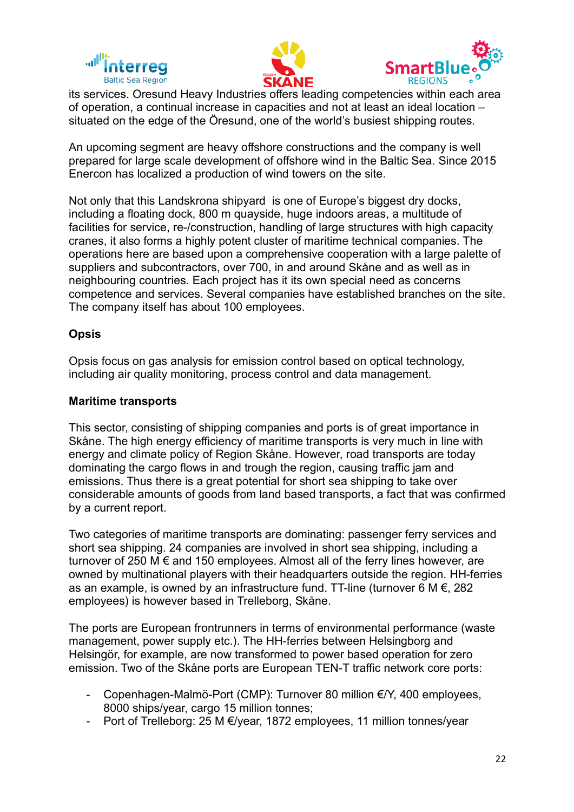





its services. Oresund Heavy Industries offers leading competencies within each area of operation, a continual increase in capacities and not at least an ideal location – situated on the edge of the Öresund, one of the world's busiest shipping routes.

An upcoming segment are heavy offshore constructions and the company is well prepared for large scale development of offshore wind in the Baltic Sea. Since 2015 Enercon has localized a production of wind towers on the site.

Not only that this Landskrona shipyard is one of Europe's biggest dry docks, including a floating dock, 800 m quayside, huge indoors areas, a multitude of facilities for service, re-/construction, handling of large structures with high capacity cranes, it also forms a highly potent cluster of maritime technical companies. The operations here are based upon a comprehensive cooperation with a large palette of suppliers and subcontractors, over 700, in and around Skåne and as well as in neighbouring countries. Each project has it its own special need as concerns competence and services. Several companies have established branches on the site. The company itself has about 100 employees.

#### **Opsis**

Opsis focus on gas analysis for emission control based on optical technology, including air quality monitoring, process control and data management.

#### **Maritime transports**

This sector, consisting of shipping companies and ports is of great importance in Skåne. The high energy efficiency of maritime transports is very much in line with energy and climate policy of Region Skåne. However, road transports are today dominating the cargo flows in and trough the region, causing traffic jam and emissions. Thus there is a great potential for short sea shipping to take over considerable amounts of goods from land based transports, a fact that was confirmed by a current report.

Two categories of maritime transports are dominating: passenger ferry services and short sea shipping. 24 companies are involved in short sea shipping, including a turnover of 250 M € and 150 employees. Almost all of the ferry lines however, are owned by multinational players with their headquarters outside the region. HH-ferries as an example, is owned by an infrastructure fund. TT-line (turnover 6 M  $\epsilon$ , 282 employees) is however based in Trelleborg, Skåne.

The ports are European frontrunners in terms of environmental performance (waste management, power supply etc.). The HH-ferries between Helsingborg and Helsingör, for example, are now transformed to power based operation for zero emission. Two of the Skåne ports are European TEN-T traffic network core ports:

- Copenhagen-Malmö-Port (CMP): Turnover 80 million €/Y, 400 employees, 8000 ships/year, cargo 15 million tonnes;
- Port of Trelleborg: 25 M €/year, 1872 employees, 11 million tonnes/year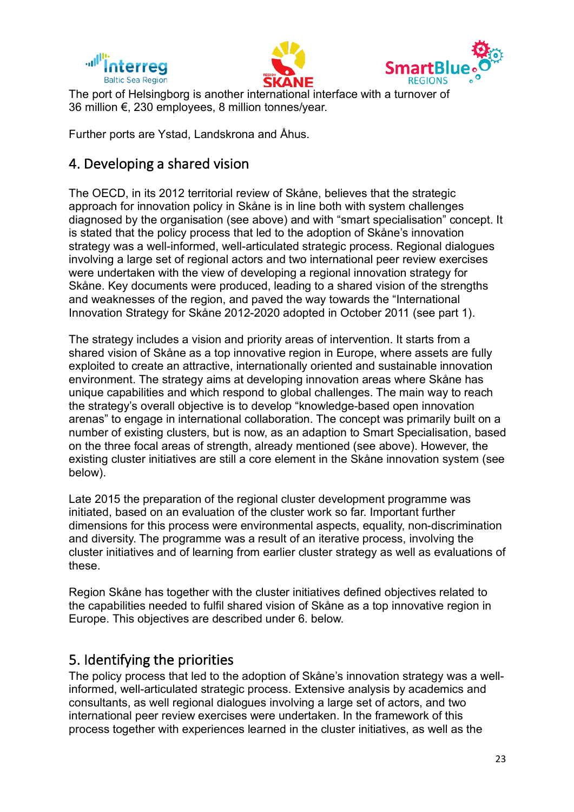





The port of Helsingborg is another international interface with a turnover of 36 million €, 230 employees, 8 million tonnes/year.

Further ports are Ystad, Landskrona and Åhus.

# 4. Developing a shared vision

The OECD, in its 2012 territorial review of Skåne, believes that the strategic approach for innovation policy in Skåne is in line both with system challenges diagnosed by the organisation (see above) and with "smart specialisation" concept. It is stated that the policy process that led to the adoption of Skåne's innovation strategy was a well-informed, well-articulated strategic process. Regional dialogues involving a large set of regional actors and two international peer review exercises were undertaken with the view of developing a regional innovation strategy for Skåne. Key documents were produced, leading to a shared vision of the strengths and weaknesses of the region, and paved the way towards the "International Innovation Strategy for Skåne 2012-2020 adopted in October 2011 (see part 1).

The strategy includes a vision and priority areas of intervention. It starts from a shared vision of Skåne as a top innovative region in Europe, where assets are fully exploited to create an attractive, internationally oriented and sustainable innovation environment. The strategy aims at developing innovation areas where Skåne has unique capabilities and which respond to global challenges. The main way to reach the strategy's overall objective is to develop "knowledge-based open innovation arenas" to engage in international collaboration. The concept was primarily built on a number of existing clusters, but is now, as an adaption to Smart Specialisation, based on the three focal areas of strength, already mentioned (see above). However, the existing cluster initiatives are still a core element in the Skåne innovation system (see below).

Late 2015 the preparation of the regional cluster development programme was initiated, based on an evaluation of the cluster work so far. Important further dimensions for this process were environmental aspects, equality, non-discrimination and diversity. The programme was a result of an iterative process, involving the cluster initiatives and of learning from earlier cluster strategy as well as evaluations of these.

Region Skåne has together with the cluster initiatives defined objectives related to the capabilities needed to fulfil shared vision of Skåne as a top innovative region in Europe. This objectives are described under 6. below.

# 5. Identifying the priorities

The policy process that led to the adoption of Skåne's innovation strategy was a wellinformed, well-articulated strategic process. Extensive analysis by academics and consultants, as well regional dialogues involving a large set of actors, and two international peer review exercises were undertaken. In the framework of this process together with experiences learned in the cluster initiatives, as well as the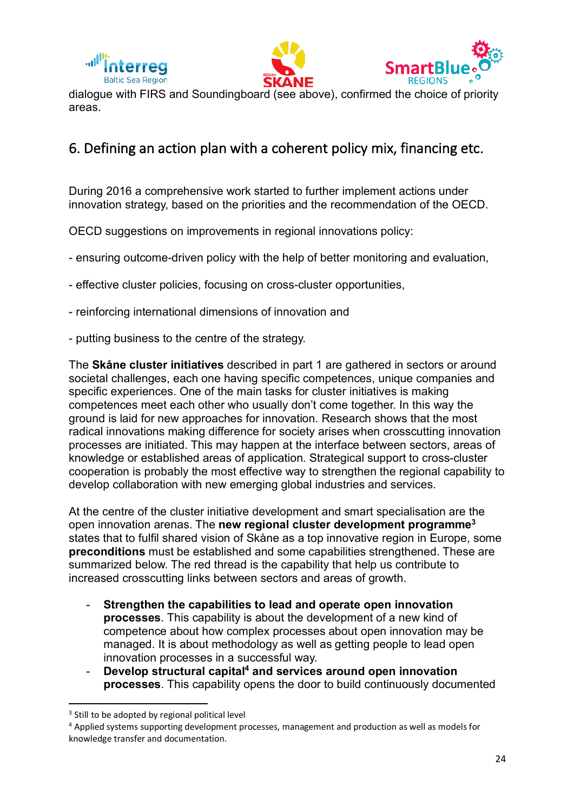





dialogue with FIRS and Soundingboard (see above), confirmed the choice of priority areas.

# 6. Defining an action plan with a coherent policy mix, financing etc.

During 2016 a comprehensive work started to further implement actions under innovation strategy, based on the priorities and the recommendation of the OECD.

OECD suggestions on improvements in regional innovations policy:

- ensuring outcome-driven policy with the help of better monitoring and evaluation,
- effective cluster policies, focusing on cross-cluster opportunities,
- reinforcing international dimensions of innovation and
- putting business to the centre of the strategy.

The **Skåne cluster initiatives** described in part 1 are gathered in sectors or around societal challenges, each one having specific competences, unique companies and specific experiences. One of the main tasks for cluster initiatives is making competences meet each other who usually don't come together. In this way the ground is laid for new approaches for innovation. Research shows that the most radical innovations making difference for society arises when crosscutting innovation processes are initiated. This may happen at the interface between sectors, areas of knowledge or established areas of application. Strategical support to cross-cluster cooperation is probably the most effective way to strengthen the regional capability to develop collaboration with new emerging global industries and services.

At the centre of the cluster initiative development and smart specialisation are the open innovation arenas. The **new regional cluster development programme3** states that to fulfil shared vision of Skåne as a top innovative region in Europe, some **preconditions** must be established and some capabilities strengthened. These are summarized below. The red thread is the capability that help us contribute to increased crosscutting links between sectors and areas of growth.

- **Strengthen the capabilities to lead and operate open innovation processes**. This capability is about the development of a new kind of competence about how complex processes about open innovation may be managed. It is about methodology as well as getting people to lead open innovation processes in a successful way.
- **Develop structural capital4 and services around open innovation processes**. This capability opens the door to build continuously documented

<sup>&</sup>lt;sup>3</sup> Still to be adopted by regional political level

<sup>4</sup> Applied systems supporting development processes, management and production as well as models for knowledge transfer and documentation.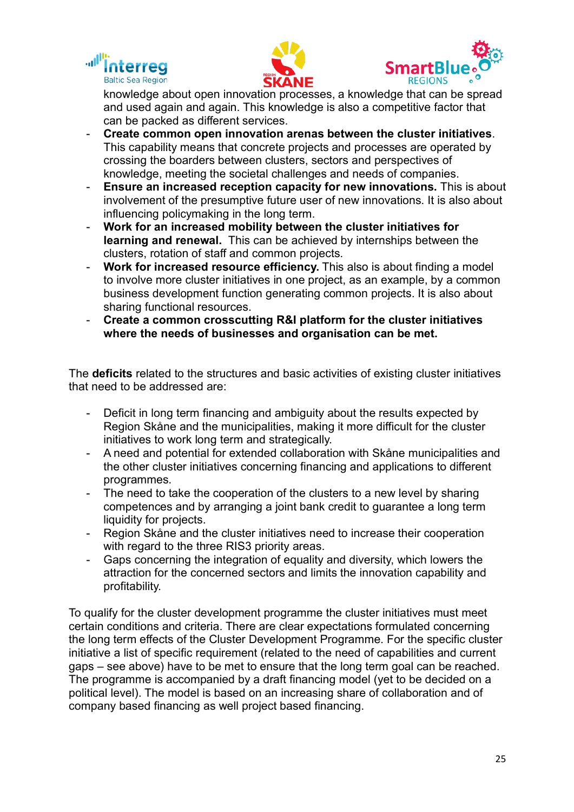





knowledge about open innovation processes, a knowledge that can be spread and used again and again. This knowledge is also a competitive factor that can be packed as different services.

- **Create common open innovation arenas between the cluster initiatives**. This capability means that concrete projects and processes are operated by crossing the boarders between clusters, sectors and perspectives of knowledge, meeting the societal challenges and needs of companies.
- **Ensure an increased reception capacity for new innovations.** This is about involvement of the presumptive future user of new innovations. It is also about influencing policymaking in the long term.
- **Work for an increased mobility between the cluster initiatives for learning and renewal.** This can be achieved by internships between the clusters, rotation of staff and common projects.
- **Work for increased resource efficiency.** This also is about finding a model to involve more cluster initiatives in one project, as an example, by a common business development function generating common projects. It is also about sharing functional resources.
- **Create a common crosscutting R&I platform for the cluster initiatives where the needs of businesses and organisation can be met.**

The **deficits** related to the structures and basic activities of existing cluster initiatives that need to be addressed are:

- Deficit in long term financing and ambiguity about the results expected by Region Skåne and the municipalities, making it more difficult for the cluster initiatives to work long term and strategically.
- A need and potential for extended collaboration with Skåne municipalities and the other cluster initiatives concerning financing and applications to different programmes.
- The need to take the cooperation of the clusters to a new level by sharing competences and by arranging a joint bank credit to guarantee a long term liquidity for projects.
- Region Skåne and the cluster initiatives need to increase their cooperation with regard to the three RIS3 priority areas.
- Gaps concerning the integration of equality and diversity, which lowers the attraction for the concerned sectors and limits the innovation capability and profitability.

To qualify for the cluster development programme the cluster initiatives must meet certain conditions and criteria. There are clear expectations formulated concerning the long term effects of the Cluster Development Programme. For the specific cluster initiative a list of specific requirement (related to the need of capabilities and current gaps – see above) have to be met to ensure that the long term goal can be reached. The programme is accompanied by a draft financing model (yet to be decided on a political level). The model is based on an increasing share of collaboration and of company based financing as well project based financing.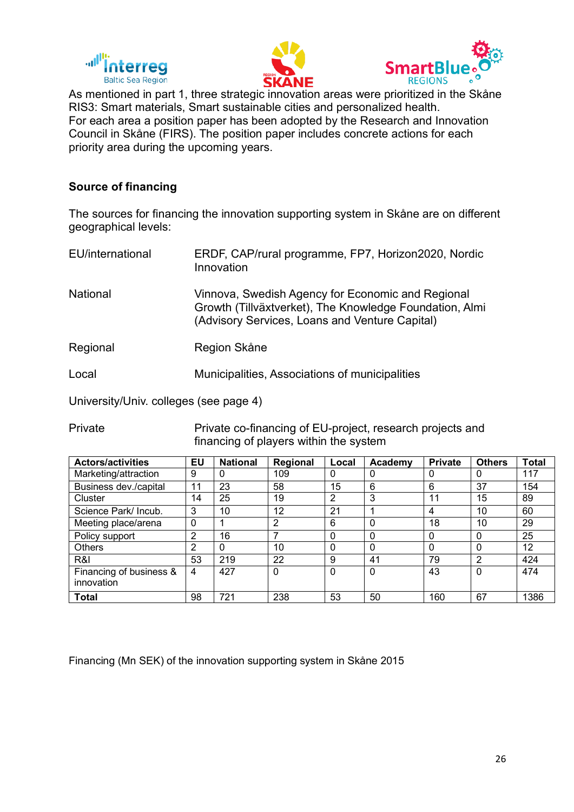





As mentioned in part 1, three strategic innovation areas were prioritized in the Skåne RIS3: Smart materials, Smart sustainable cities and personalized health. For each area a position paper has been adopted by the Research and Innovation Council in Skåne (FIRS). The position paper includes concrete actions for each priority area during the upcoming years.

## **Source of financing**

The sources for financing the innovation supporting system in Skåne are on different geographical levels:

| EU/international | ERDF, CAP/rural programme, FP7, Horizon2020, Nordic<br>Innovation                                                                                              |
|------------------|----------------------------------------------------------------------------------------------------------------------------------------------------------------|
| National         | Vinnova, Swedish Agency for Economic and Regional<br>Growth (Tillväxtverket), The Knowledge Foundation, Almi<br>(Advisory Services, Loans and Venture Capital) |
| Regional         | Region Skåne                                                                                                                                                   |
| Local            | Municipalities, Associations of municipalities                                                                                                                 |
|                  |                                                                                                                                                                |

University/Univ. colleges (see page 4)

Private Private co-financing of EU-project, research projects and financing of players within the system

| <b>Actors/activities</b> | EU | <b>National</b> | Regional | Local    | Academy  | <b>Private</b> | <b>Others</b> | <b>Total</b> |
|--------------------------|----|-----------------|----------|----------|----------|----------------|---------------|--------------|
| Marketing/attraction     | 9  | 0               | 109      | 0        | 0        | 0              | U             | 117          |
| Business dev./capital    | 11 | 23              | 58       | 15       | 6        | 6              | 37            | 154          |
| Cluster                  | 14 | 25              | 19       | 2        | 3        | 11             | 15            | 89           |
| Science Park/ Incub.     | 3  | 10 <sup>°</sup> | 12       | 21       |          | 4              | 10            | 60           |
| Meeting place/arena      | 0  |                 | 2        | 6        | $\Omega$ | 18             | 10            | 29           |
| Policy support           | 2  | 16              |          | $\Omega$ | $\Omega$ | 0              | 0             | 25           |
| Others                   | 2  | $\Omega$        | 10       | $\Omega$ | $\Omega$ | $\Omega$       | 0             | 12           |
| R&I                      | 53 | 219             | 22       | 9        | 41       | 79             | າ             | 424          |
| Financing of business &  | 4  | 427             | $\Omega$ | $\Omega$ | 0        | 43             | 0             | 474          |
| innovation               |    |                 |          |          |          |                |               |              |
| Total                    | 98 | 721             | 238      | 53       | 50       | 160            | 67            | 1386         |

Financing (Mn SEK) of the innovation supporting system in Skåne 2015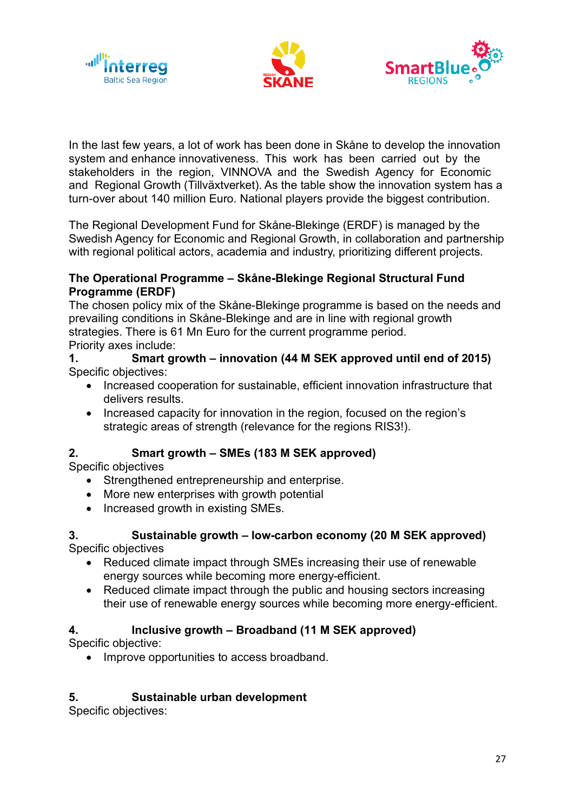





In the last few years, a lot of work has been done in Skåne to develop the innovation system and enhance innovativeness. This work has been carried out by the stakeholders in the region, VINNOVA and the Swedish Agency for Economic and Regional Growth (Tillväxtverket). As the table show the innovation system has a turn-over about 140 million Euro. National players provide the biggest contribution.

The Regional Development Fund for Skåne-Blekinge (ERDF) is managed by the Swedish Agency for Economic and Regional Growth, in collaboration and partnership with regional political actors, academia and industry, prioritizing different projects.

#### **The Operational Programme – Skåne-Blekinge Regional Structural Fund Programme (ERDF)**

The chosen policy mix of the Skåne-Blekinge programme is based on the needs and prevailing conditions in Skåne-Blekinge and are in line with regional growth strategies. There is 61 Mn Euro for the current programme period. Priority axes include:

### **1. Smart growth – innovation (44 M SEK approved until end of 2015)** Specific objectives:

- Increased cooperation for sustainable, efficient innovation infrastructure that delivers results.
- Increased capacity for innovation in the region, focused on the region's strategic areas of strength (relevance for the regions RIS3!).

# **2. Smart growth – SMEs (183 M SEK approved)**

Specific objectives

- Strengthened entrepreneurship and enterprise.
- More new enterprises with growth potential
- Increased growth in existing SMEs.

#### **3. Sustainable growth – low-carbon economy (20 M SEK approved)** Specific objectives

- Reduced climate impact through SMEs increasing their use of renewable energy sources while becoming more energy-efficient.
- Reduced climate impact through the public and housing sectors increasing their use of renewable energy sources while becoming more energy-efficient.

# **4. Inclusive growth – Broadband (11 M SEK approved)**

Specific objective:

• Improve opportunities to access broadband.

# **5. Sustainable urban development**

Specific objectives: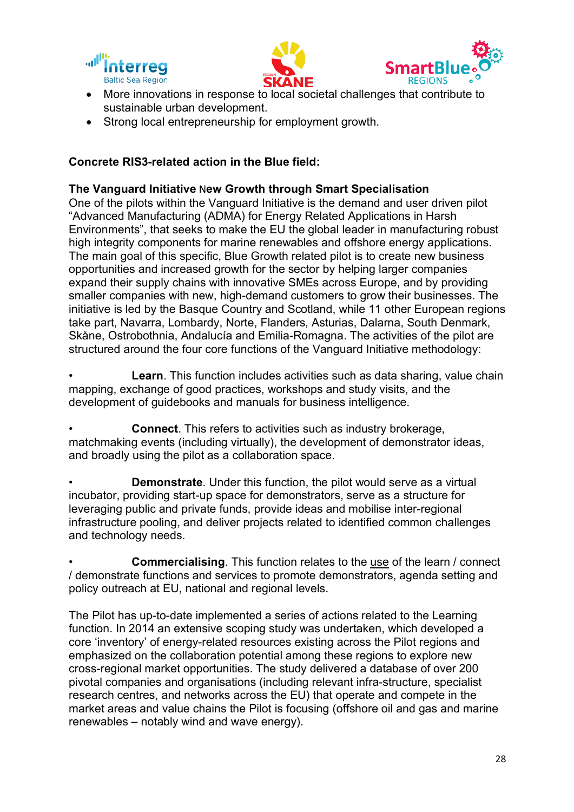





- More innovations in response to local societal challenges that contribute to sustainable urban development.
- Strong local entrepreneurship for employment growth.

# **Concrete RIS3-related action in the Blue field:**

# **The Vanguard Initiative** N**ew Growth through Smart Specialisation**

One of the pilots within the Vanguard Initiative is the demand and user driven pilot "Advanced Manufacturing (ADMA) for Energy Related Applications in Harsh Environments", that seeks to make the EU the global leader in manufacturing robust high integrity components for marine renewables and offshore energy applications. The main goal of this specific, Blue Growth related pilot is to create new business opportunities and increased growth for the sector by helping larger companies expand their supply chains with innovative SMEs across Europe, and by providing smaller companies with new, high-demand customers to grow their businesses. The initiative is led by the Basque Country and Scotland, while 11 other European regions take part, Navarra, Lombardy, Norte, Flanders, Asturias, Dalarna, South Denmark, Skåne, Ostrobothnia, Andalucía and Emilia-Romagna. The activities of the pilot are structured around the four core functions of the Vanguard Initiative methodology:

**Learn**. This function includes activities such as data sharing, value chain mapping, exchange of good practices, workshops and study visits, and the development of guidebooks and manuals for business intelligence.

• **Connect**. This refers to activities such as industry brokerage, matchmaking events (including virtually), the development of demonstrator ideas, and broadly using the pilot as a collaboration space.

**Demonstrate.** Under this function, the pilot would serve as a virtual incubator, providing start-up space for demonstrators, serve as a structure for leveraging public and private funds, provide ideas and mobilise inter-regional infrastructure pooling, and deliver projects related to identified common challenges and technology needs.

• **Commercialising**. This function relates to the use of the learn / connect / demonstrate functions and services to promote demonstrators, agenda setting and policy outreach at EU, national and regional levels.

The Pilot has up-to-date implemented a series of actions related to the Learning function. In 2014 an extensive scoping study was undertaken, which developed a core 'inventory' of energy-related resources existing across the Pilot regions and emphasized on the collaboration potential among these regions to explore new cross-regional market opportunities. The study delivered a database of over 200 pivotal companies and organisations (including relevant infra-structure, specialist research centres, and networks across the EU) that operate and compete in the market areas and value chains the Pilot is focusing (offshore oil and gas and marine renewables – notably wind and wave energy).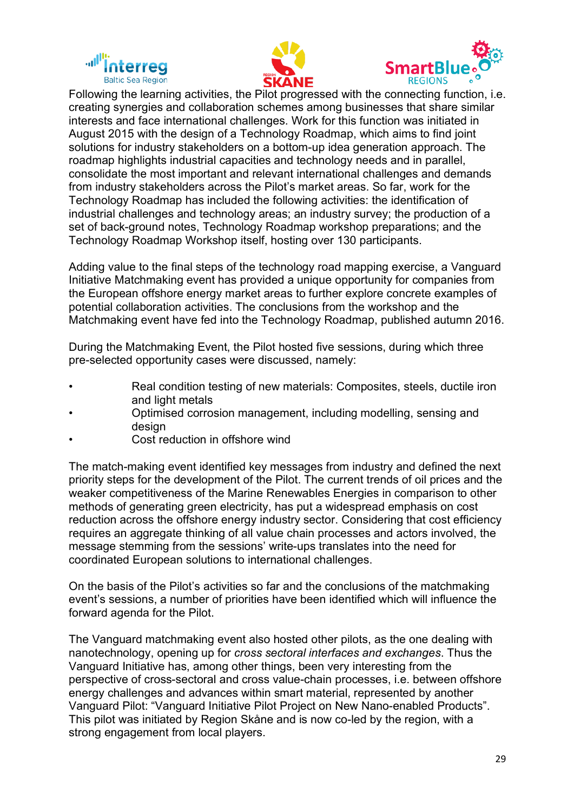





Following the learning activities, the Pilot progressed with the connecting function, i.e. creating synergies and collaboration schemes among businesses that share similar interests and face international challenges. Work for this function was initiated in August 2015 with the design of a Technology Roadmap, which aims to find joint solutions for industry stakeholders on a bottom-up idea generation approach. The roadmap highlights industrial capacities and technology needs and in parallel, consolidate the most important and relevant international challenges and demands from industry stakeholders across the Pilot's market areas. So far, work for the Technology Roadmap has included the following activities: the identification of industrial challenges and technology areas; an industry survey; the production of a set of back-ground notes, Technology Roadmap workshop preparations; and the Technology Roadmap Workshop itself, hosting over 130 participants.

Adding value to the final steps of the technology road mapping exercise, a Vanguard Initiative Matchmaking event has provided a unique opportunity for companies from the European offshore energy market areas to further explore concrete examples of potential collaboration activities. The conclusions from the workshop and the Matchmaking event have fed into the Technology Roadmap, published autumn 2016.

During the Matchmaking Event, the Pilot hosted five sessions, during which three pre-selected opportunity cases were discussed, namely:

- Real condition testing of new materials: Composites, steels, ductile iron and light metals
- Optimised corrosion management, including modelling, sensing and desian
- Cost reduction in offshore wind

The match-making event identified key messages from industry and defined the next priority steps for the development of the Pilot. The current trends of oil prices and the weaker competitiveness of the Marine Renewables Energies in comparison to other methods of generating green electricity, has put a widespread emphasis on cost reduction across the offshore energy industry sector. Considering that cost efficiency requires an aggregate thinking of all value chain processes and actors involved, the message stemming from the sessions' write-ups translates into the need for coordinated European solutions to international challenges.

On the basis of the Pilot's activities so far and the conclusions of the matchmaking event's sessions, a number of priorities have been identified which will influence the forward agenda for the Pilot.

The Vanguard matchmaking event also hosted other pilots, as the one dealing with nanotechnology, opening up for *cross sectoral interfaces and exchanges*. Thus the Vanguard Initiative has, among other things, been very interesting from the perspective of cross-sectoral and cross value-chain processes, i.e. between offshore energy challenges and advances within smart material, represented by another Vanguard Pilot: "Vanguard Initiative Pilot Project on New Nano-enabled Products". This pilot was initiated by Region Skåne and is now co-led by the region, with a strong engagement from local players.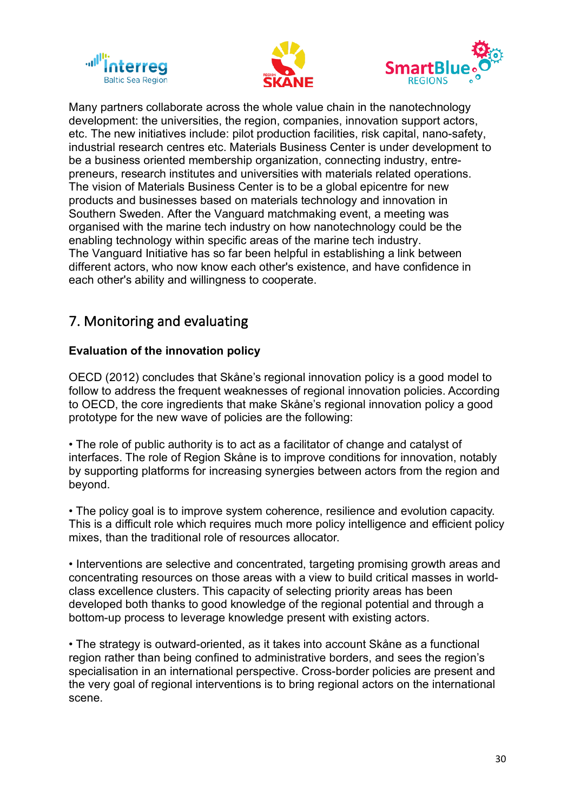





Many partners collaborate across the whole value chain in the nanotechnology development: the universities, the region, companies, innovation support actors, etc. The new initiatives include: pilot production facilities, risk capital, nano-safety, industrial research centres etc. Materials Business Center is under development to be a business oriented membership organization, connecting industry, entrepreneurs, research institutes and universities with materials related operations. The vision of Materials Business Center is to be a global epicentre for new products and businesses based on materials technology and innovation in Southern Sweden. After the Vanguard matchmaking event, a meeting was organised with the marine tech industry on how nanotechnology could be the enabling technology within specific areas of the marine tech industry. The Vanguard Initiative has so far been helpful in establishing a link between different actors, who now know each other's existence, and have confidence in each other's ability and willingness to cooperate.

# 7. Monitoring and evaluating

# **Evaluation of the innovation policy**

OECD (2012) concludes that Skåne's regional innovation policy is a good model to follow to address the frequent weaknesses of regional innovation policies. According to OECD, the core ingredients that make Skåne's regional innovation policy a good prototype for the new wave of policies are the following:

• The role of public authority is to act as a facilitator of change and catalyst of interfaces. The role of Region Skåne is to improve conditions for innovation, notably by supporting platforms for increasing synergies between actors from the region and beyond.

• The policy goal is to improve system coherence, resilience and evolution capacity. This is a difficult role which requires much more policy intelligence and efficient policy mixes, than the traditional role of resources allocator.

• Interventions are selective and concentrated, targeting promising growth areas and concentrating resources on those areas with a view to build critical masses in worldclass excellence clusters. This capacity of selecting priority areas has been developed both thanks to good knowledge of the regional potential and through a bottom-up process to leverage knowledge present with existing actors.

• The strategy is outward-oriented, as it takes into account Skåne as a functional region rather than being confined to administrative borders, and sees the region's specialisation in an international perspective. Cross-border policies are present and the very goal of regional interventions is to bring regional actors on the international scene.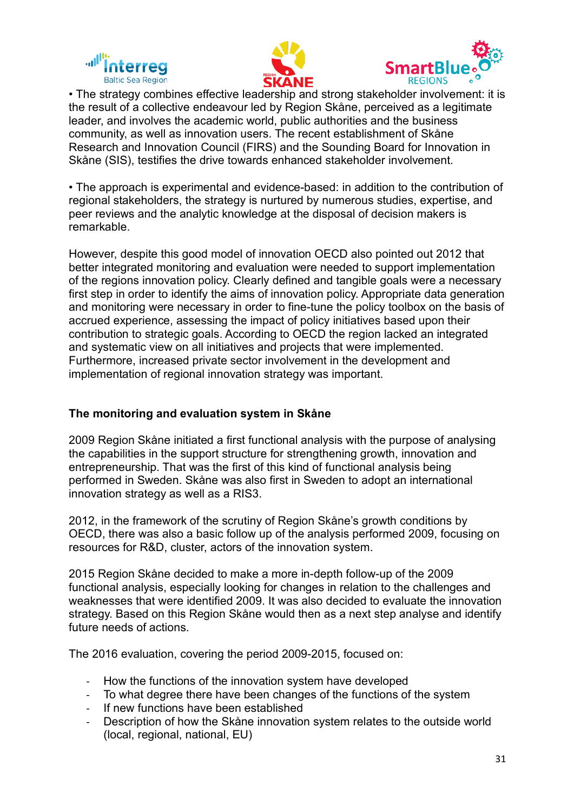





• The strategy combines effective leadership and strong stakeholder involvement: it is the result of a collective endeavour led by Region Skåne, perceived as a legitimate leader, and involves the academic world, public authorities and the business community, as well as innovation users. The recent establishment of Skåne Research and Innovation Council (FIRS) and the Sounding Board for Innovation in Skåne (SIS), testifies the drive towards enhanced stakeholder involvement.

• The approach is experimental and evidence-based: in addition to the contribution of regional stakeholders, the strategy is nurtured by numerous studies, expertise, and peer reviews and the analytic knowledge at the disposal of decision makers is remarkable.

However, despite this good model of innovation OECD also pointed out 2012 that better integrated monitoring and evaluation were needed to support implementation of the regions innovation policy. Clearly defined and tangible goals were a necessary first step in order to identify the aims of innovation policy. Appropriate data generation and monitoring were necessary in order to fine-tune the policy toolbox on the basis of accrued experience, assessing the impact of policy initiatives based upon their contribution to strategic goals. According to OECD the region lacked an integrated and systematic view on all initiatives and projects that were implemented. Furthermore, increased private sector involvement in the development and implementation of regional innovation strategy was important.

# **The monitoring and evaluation system in Skåne**

2009 Region Skåne initiated a first functional analysis with the purpose of analysing the capabilities in the support structure for strengthening growth, innovation and entrepreneurship. That was the first of this kind of functional analysis being performed in Sweden. Skåne was also first in Sweden to adopt an international innovation strategy as well as a RIS3.

2012, in the framework of the scrutiny of Region Skåne's growth conditions by OECD, there was also a basic follow up of the analysis performed 2009, focusing on resources for R&D, cluster, actors of the innovation system.

2015 Region Skåne decided to make a more in-depth follow-up of the 2009 functional analysis, especially looking for changes in relation to the challenges and weaknesses that were identified 2009. It was also decided to evaluate the innovation strategy. Based on this Region Skåne would then as a next step analyse and identify future needs of actions.

The 2016 evaluation, covering the period 2009-2015, focused on:

- How the functions of the innovation system have developed
- To what degree there have been changes of the functions of the system
- If new functions have been established
- Description of how the Skåne innovation system relates to the outside world (local, regional, national, EU)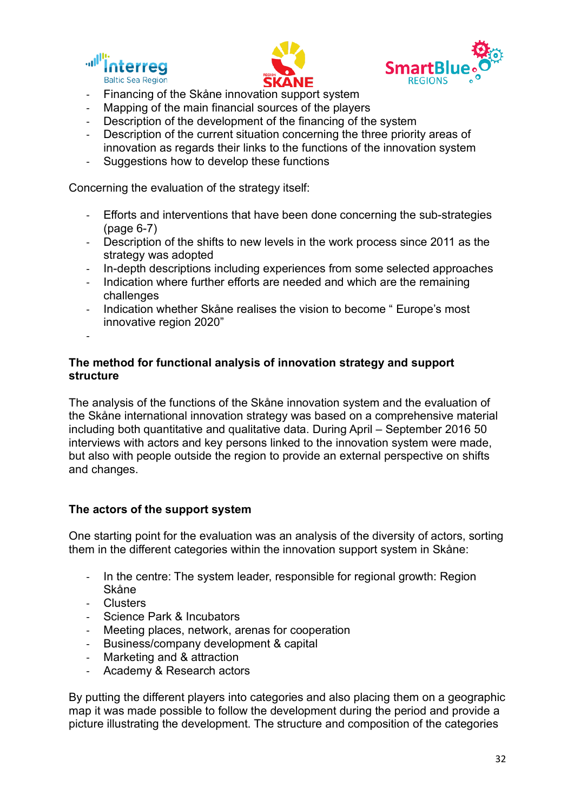





- Financing of the Skåne innovation support system
- Mapping of the main financial sources of the players
- Description of the development of the financing of the system
- Description of the current situation concerning the three priority areas of innovation as regards their links to the functions of the innovation system
- Suggestions how to develop these functions

Concerning the evaluation of the strategy itself:

- Efforts and interventions that have been done concerning the sub-strategies (page 6-7)
- Description of the shifts to new levels in the work process since 2011 as the strategy was adopted
- In-depth descriptions including experiences from some selected approaches
- Indication where further efforts are needed and which are the remaining challenges
- Indication whether Skåne realises the vision to become " Europe's most innovative region 2020"
- -

#### **The method for functional analysis of innovation strategy and support structure**

The analysis of the functions of the Skåne innovation system and the evaluation of the Skåne international innovation strategy was based on a comprehensive material including both quantitative and qualitative data. During April – September 2016 50 interviews with actors and key persons linked to the innovation system were made, but also with people outside the region to provide an external perspective on shifts and changes.

#### **The actors of the support system**

One starting point for the evaluation was an analysis of the diversity of actors, sorting them in the different categories within the innovation support system in Skåne:

- In the centre: The system leader, responsible for regional growth: Region Skåne
- Clusters
- Science Park & Incubators
- Meeting places, network, arenas for cooperation
- Business/company development & capital
- Marketing and & attraction
- Academy & Research actors

By putting the different players into categories and also placing them on a geographic map it was made possible to follow the development during the period and provide a picture illustrating the development. The structure and composition of the categories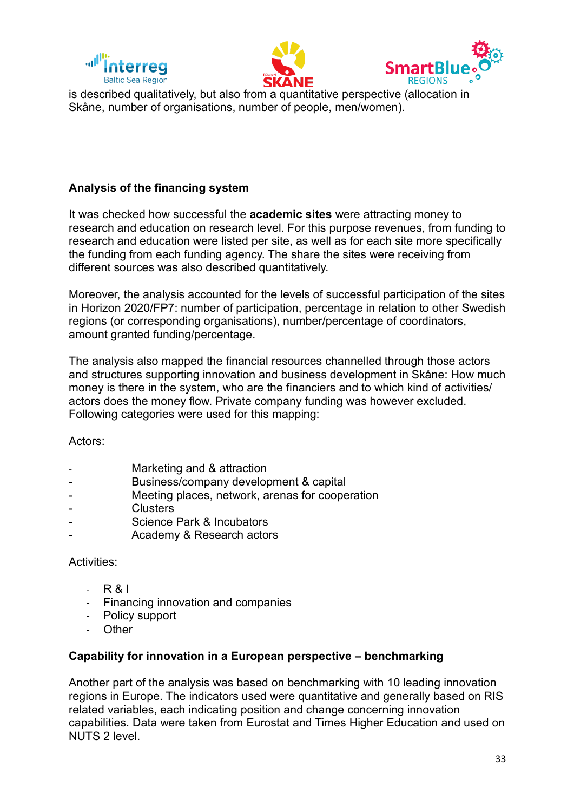





is described qualitatively, but also from a quantitative perspective (allocation in Skåne, number of organisations, number of people, men/women).

## **Analysis of the financing system**

It was checked how successful the **academic sites** were attracting money to research and education on research level. For this purpose revenues, from funding to research and education were listed per site, as well as for each site more specifically the funding from each funding agency. The share the sites were receiving from different sources was also described quantitatively.

Moreover, the analysis accounted for the levels of successful participation of the sites in Horizon 2020/FP7: number of participation, percentage in relation to other Swedish regions (or corresponding organisations), number/percentage of coordinators, amount granted funding/percentage.

The analysis also mapped the financial resources channelled through those actors and structures supporting innovation and business development in Skåne: How much money is there in the system, who are the financiers and to which kind of activities/ actors does the money flow. Private company funding was however excluded. Following categories were used for this mapping:

Actors:

- Marketing and & attraction
- Business/company development & capital
- Meeting places, network, arenas for cooperation
- Clusters
- Science Park & Incubators
- Academy & Research actors

#### Activities:

- R & I
- Financing innovation and companies
- Policy support
- **Other**

#### **Capability for innovation in a European perspective – benchmarking**

Another part of the analysis was based on benchmarking with 10 leading innovation regions in Europe. The indicators used were quantitative and generally based on RIS related variables, each indicating position and change concerning innovation capabilities. Data were taken from Eurostat and Times Higher Education and used on NUTS 2 level.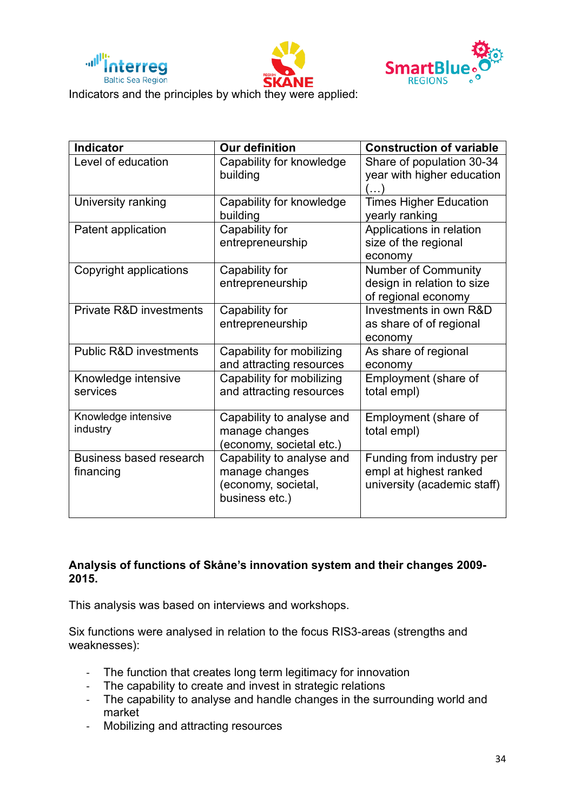





Indicators and the principles by which they were applied:

| <b>Indicator</b>                     | <b>Our definition</b>                                                                | <b>Construction of variable</b>                                                    |
|--------------------------------------|--------------------------------------------------------------------------------------|------------------------------------------------------------------------------------|
| Level of education                   | Capability for knowledge<br>building                                                 | Share of population 30-34<br>year with higher education<br>$\left( \ldots \right)$ |
| University ranking                   | Capability for knowledge<br>building                                                 | <b>Times Higher Education</b><br>yearly ranking                                    |
| Patent application                   | Capability for<br>entrepreneurship                                                   | Applications in relation<br>size of the regional<br>economy                        |
| Copyright applications               | Capability for<br>entrepreneurship                                                   | <b>Number of Community</b><br>design in relation to size<br>of regional economy    |
| <b>Private R&amp;D investments</b>   | Capability for<br>entrepreneurship                                                   | Investments in own R&D<br>as share of of regional<br>economy                       |
| <b>Public R&amp;D investments</b>    | Capability for mobilizing<br>and attracting resources                                | As share of regional<br>economy                                                    |
| Knowledge intensive<br>services      | Capability for mobilizing<br>and attracting resources                                | Employment (share of<br>total empl)                                                |
| Knowledge intensive<br>industry      | Capability to analyse and<br>manage changes<br>(economy, societal etc.)              | Employment (share of<br>total empl)                                                |
| Business based research<br>financing | Capability to analyse and<br>manage changes<br>(economy, societal,<br>business etc.) | Funding from industry per<br>empl at highest ranked<br>university (academic staff) |

#### **Analysis of functions of Skåne's innovation system and their changes 2009- 2015.**

This analysis was based on interviews and workshops.

Six functions were analysed in relation to the focus RIS3-areas (strengths and weaknesses):

- The function that creates long term legitimacy for innovation
- The capability to create and invest in strategic relations
- The capability to analyse and handle changes in the surrounding world and market
- Mobilizing and attracting resources